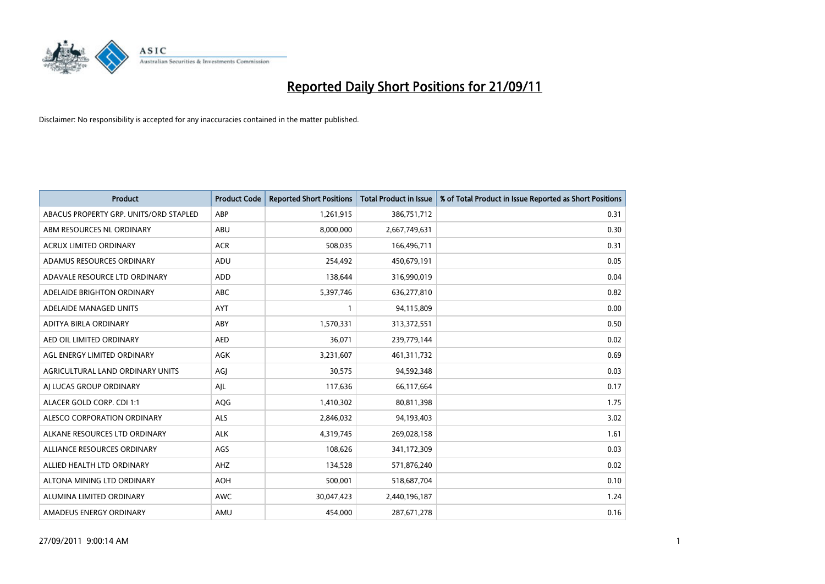

| <b>Product</b>                         | <b>Product Code</b> | <b>Reported Short Positions</b> | <b>Total Product in Issue</b> | % of Total Product in Issue Reported as Short Positions |
|----------------------------------------|---------------------|---------------------------------|-------------------------------|---------------------------------------------------------|
| ABACUS PROPERTY GRP. UNITS/ORD STAPLED | ABP                 | 1,261,915                       | 386,751,712                   | 0.31                                                    |
| ABM RESOURCES NL ORDINARY              | ABU                 | 8,000,000                       | 2,667,749,631                 | 0.30                                                    |
| <b>ACRUX LIMITED ORDINARY</b>          | <b>ACR</b>          | 508,035                         | 166,496,711                   | 0.31                                                    |
| ADAMUS RESOURCES ORDINARY              | ADU                 | 254,492                         | 450,679,191                   | 0.05                                                    |
| ADAVALE RESOURCE LTD ORDINARY          | ADD                 | 138,644                         | 316,990,019                   | 0.04                                                    |
| ADELAIDE BRIGHTON ORDINARY             | <b>ABC</b>          | 5,397,746                       | 636,277,810                   | 0.82                                                    |
| ADELAIDE MANAGED UNITS                 | <b>AYT</b>          |                                 | 94,115,809                    | 0.00                                                    |
| ADITYA BIRLA ORDINARY                  | ABY                 | 1,570,331                       | 313,372,551                   | 0.50                                                    |
| AED OIL LIMITED ORDINARY               | <b>AED</b>          | 36,071                          | 239,779,144                   | 0.02                                                    |
| AGL ENERGY LIMITED ORDINARY            | <b>AGK</b>          | 3,231,607                       | 461,311,732                   | 0.69                                                    |
| AGRICULTURAL LAND ORDINARY UNITS       | AGJ                 | 30,575                          | 94,592,348                    | 0.03                                                    |
| AI LUCAS GROUP ORDINARY                | AJL                 | 117,636                         | 66,117,664                    | 0.17                                                    |
| ALACER GOLD CORP. CDI 1:1              | AQG                 | 1,410,302                       | 80,811,398                    | 1.75                                                    |
| ALESCO CORPORATION ORDINARY            | ALS                 | 2,846,032                       | 94,193,403                    | 3.02                                                    |
| ALKANE RESOURCES LTD ORDINARY          | <b>ALK</b>          | 4,319,745                       | 269,028,158                   | 1.61                                                    |
| ALLIANCE RESOURCES ORDINARY            | AGS                 | 108,626                         | 341,172,309                   | 0.03                                                    |
| ALLIED HEALTH LTD ORDINARY             | AHZ                 | 134,528                         | 571,876,240                   | 0.02                                                    |
| ALTONA MINING LTD ORDINARY             | <b>AOH</b>          | 500,001                         | 518,687,704                   | 0.10                                                    |
| ALUMINA LIMITED ORDINARY               | <b>AWC</b>          | 30,047,423                      | 2,440,196,187                 | 1.24                                                    |
| AMADEUS ENERGY ORDINARY                | AMU                 | 454.000                         | 287,671,278                   | 0.16                                                    |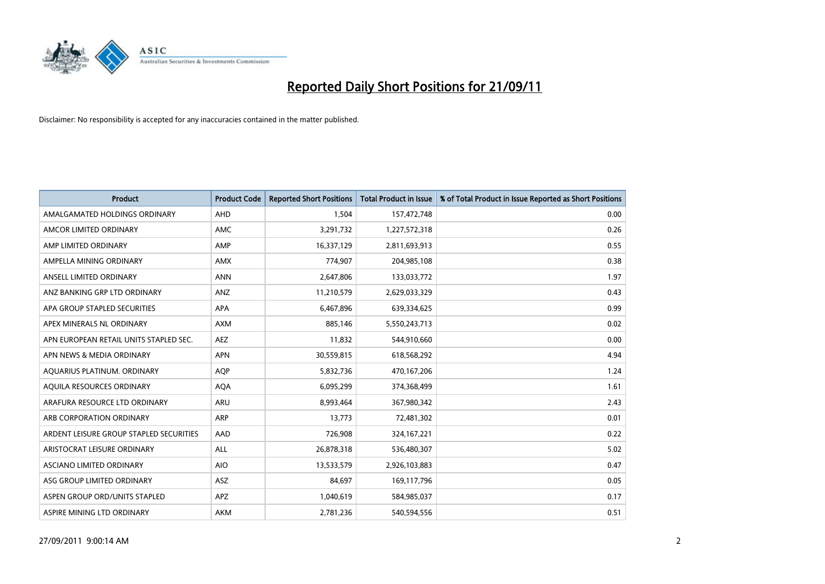

| <b>Product</b>                          | <b>Product Code</b> | <b>Reported Short Positions</b> | <b>Total Product in Issue</b> | % of Total Product in Issue Reported as Short Positions |
|-----------------------------------------|---------------------|---------------------------------|-------------------------------|---------------------------------------------------------|
| AMALGAMATED HOLDINGS ORDINARY           | <b>AHD</b>          | 1,504                           | 157,472,748                   | 0.00                                                    |
| AMCOR LIMITED ORDINARY                  | <b>AMC</b>          | 3,291,732                       | 1,227,572,318                 | 0.26                                                    |
| AMP LIMITED ORDINARY                    | AMP                 | 16,337,129                      | 2,811,693,913                 | 0.55                                                    |
| AMPELLA MINING ORDINARY                 | <b>AMX</b>          | 774,907                         | 204,985,108                   | 0.38                                                    |
| ANSELL LIMITED ORDINARY                 | <b>ANN</b>          | 2,647,806                       | 133,033,772                   | 1.97                                                    |
| ANZ BANKING GRP LTD ORDINARY            | ANZ                 | 11,210,579                      | 2,629,033,329                 | 0.43                                                    |
| APA GROUP STAPLED SECURITIES            | <b>APA</b>          | 6,467,896                       | 639,334,625                   | 0.99                                                    |
| APEX MINERALS NL ORDINARY               | <b>AXM</b>          | 885,146                         | 5,550,243,713                 | 0.02                                                    |
| APN EUROPEAN RETAIL UNITS STAPLED SEC.  | <b>AEZ</b>          | 11,832                          | 544,910,660                   | 0.00                                                    |
| APN NEWS & MEDIA ORDINARY               | <b>APN</b>          | 30,559,815                      | 618,568,292                   | 4.94                                                    |
| AQUARIUS PLATINUM. ORDINARY             | <b>AOP</b>          | 5,832,736                       | 470,167,206                   | 1.24                                                    |
| AQUILA RESOURCES ORDINARY               | <b>AQA</b>          | 6,095,299                       | 374,368,499                   | 1.61                                                    |
| ARAFURA RESOURCE LTD ORDINARY           | ARU                 | 8,993,464                       | 367,980,342                   | 2.43                                                    |
| ARB CORPORATION ORDINARY                | <b>ARP</b>          | 13,773                          | 72,481,302                    | 0.01                                                    |
| ARDENT LEISURE GROUP STAPLED SECURITIES | AAD                 | 726,908                         | 324, 167, 221                 | 0.22                                                    |
| ARISTOCRAT LEISURE ORDINARY             | ALL                 | 26,878,318                      | 536,480,307                   | 5.02                                                    |
| ASCIANO LIMITED ORDINARY                | <b>AIO</b>          | 13,533,579                      | 2,926,103,883                 | 0.47                                                    |
| ASG GROUP LIMITED ORDINARY              | <b>ASZ</b>          | 84,697                          | 169,117,796                   | 0.05                                                    |
| ASPEN GROUP ORD/UNITS STAPLED           | <b>APZ</b>          | 1,040,619                       | 584,985,037                   | 0.17                                                    |
| ASPIRE MINING LTD ORDINARY              | <b>AKM</b>          | 2,781,236                       | 540,594,556                   | 0.51                                                    |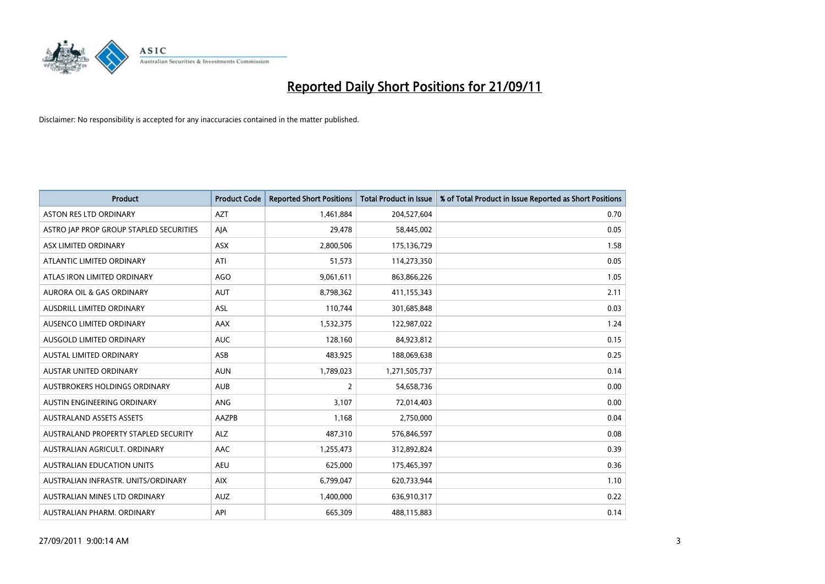

| <b>Product</b>                          | <b>Product Code</b> | <b>Reported Short Positions</b> | <b>Total Product in Issue</b> | % of Total Product in Issue Reported as Short Positions |
|-----------------------------------------|---------------------|---------------------------------|-------------------------------|---------------------------------------------------------|
| <b>ASTON RES LTD ORDINARY</b>           | <b>AZT</b>          | 1,461,884                       | 204,527,604                   | 0.70                                                    |
| ASTRO JAP PROP GROUP STAPLED SECURITIES | AIA                 | 29,478                          | 58,445,002                    | 0.05                                                    |
| ASX LIMITED ORDINARY                    | <b>ASX</b>          | 2,800,506                       | 175,136,729                   | 1.58                                                    |
| ATLANTIC LIMITED ORDINARY               | ATI                 | 51,573                          | 114,273,350                   | 0.05                                                    |
| ATLAS IRON LIMITED ORDINARY             | <b>AGO</b>          | 9,061,611                       | 863,866,226                   | 1.05                                                    |
| <b>AURORA OIL &amp; GAS ORDINARY</b>    | <b>AUT</b>          | 8,798,362                       | 411,155,343                   | 2.11                                                    |
| <b>AUSDRILL LIMITED ORDINARY</b>        | <b>ASL</b>          | 110,744                         | 301,685,848                   | 0.03                                                    |
| AUSENCO LIMITED ORDINARY                | AAX                 | 1,532,375                       | 122,987,022                   | 1.24                                                    |
| AUSGOLD LIMITED ORDINARY                | <b>AUC</b>          | 128,160                         | 84,923,812                    | 0.15                                                    |
| <b>AUSTAL LIMITED ORDINARY</b>          | ASB                 | 483,925                         | 188,069,638                   | 0.25                                                    |
| AUSTAR UNITED ORDINARY                  | <b>AUN</b>          | 1,789,023                       | 1,271,505,737                 | 0.14                                                    |
| <b>AUSTBROKERS HOLDINGS ORDINARY</b>    | <b>AUB</b>          | 2                               | 54,658,736                    | 0.00                                                    |
| AUSTIN ENGINEERING ORDINARY             | ANG                 | 3,107                           | 72,014,403                    | 0.00                                                    |
| <b>AUSTRALAND ASSETS ASSETS</b>         | AAZPB               | 1,168                           | 2,750,000                     | 0.04                                                    |
| AUSTRALAND PROPERTY STAPLED SECURITY    | <b>ALZ</b>          | 487,310                         | 576,846,597                   | 0.08                                                    |
| AUSTRALIAN AGRICULT. ORDINARY           | AAC                 | 1,255,473                       | 312,892,824                   | 0.39                                                    |
| <b>AUSTRALIAN EDUCATION UNITS</b>       | <b>AEU</b>          | 625,000                         | 175,465,397                   | 0.36                                                    |
| AUSTRALIAN INFRASTR. UNITS/ORDINARY     | <b>AIX</b>          | 6,799,047                       | 620,733,944                   | 1.10                                                    |
| AUSTRALIAN MINES LTD ORDINARY           | <b>AUZ</b>          | 1,400,000                       | 636,910,317                   | 0.22                                                    |
| AUSTRALIAN PHARM. ORDINARY              | API                 | 665,309                         | 488,115,883                   | 0.14                                                    |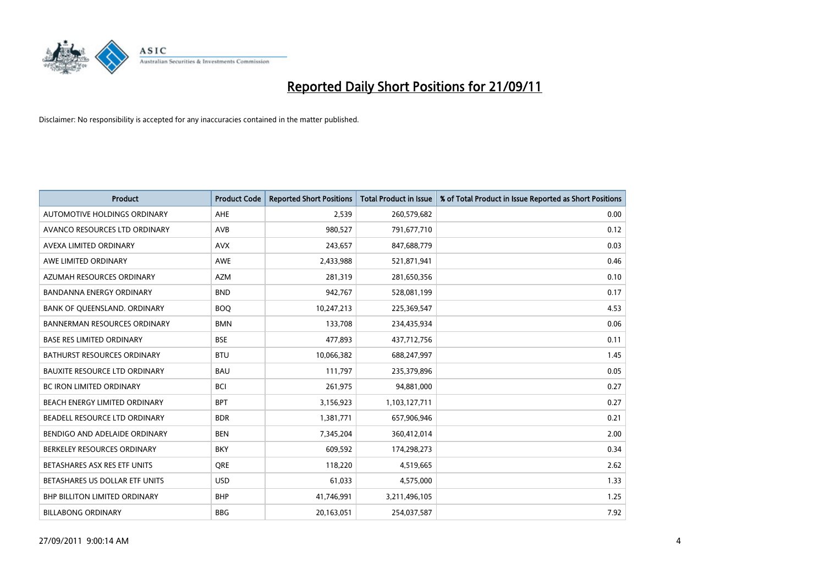

| <b>Product</b>                       | <b>Product Code</b> | <b>Reported Short Positions</b> | <b>Total Product in Issue</b> | % of Total Product in Issue Reported as Short Positions |
|--------------------------------------|---------------------|---------------------------------|-------------------------------|---------------------------------------------------------|
| <b>AUTOMOTIVE HOLDINGS ORDINARY</b>  | AHE                 | 2,539                           | 260,579,682                   | 0.00                                                    |
| AVANCO RESOURCES LTD ORDINARY        | <b>AVB</b>          | 980,527                         | 791,677,710                   | 0.12                                                    |
| AVEXA LIMITED ORDINARY               | <b>AVX</b>          | 243,657                         | 847,688,779                   | 0.03                                                    |
| AWE LIMITED ORDINARY                 | AWE                 | 2,433,988                       | 521,871,941                   | 0.46                                                    |
| AZUMAH RESOURCES ORDINARY            | <b>AZM</b>          | 281,319                         | 281,650,356                   | 0.10                                                    |
| <b>BANDANNA ENERGY ORDINARY</b>      | <b>BND</b>          | 942,767                         | 528,081,199                   | 0.17                                                    |
| BANK OF QUEENSLAND. ORDINARY         | <b>BOO</b>          | 10,247,213                      | 225,369,547                   | 4.53                                                    |
| <b>BANNERMAN RESOURCES ORDINARY</b>  | <b>BMN</b>          | 133,708                         | 234,435,934                   | 0.06                                                    |
| <b>BASE RES LIMITED ORDINARY</b>     | <b>BSE</b>          | 477,893                         | 437,712,756                   | 0.11                                                    |
| <b>BATHURST RESOURCES ORDINARY</b>   | <b>BTU</b>          | 10,066,382                      | 688,247,997                   | 1.45                                                    |
| <b>BAUXITE RESOURCE LTD ORDINARY</b> | <b>BAU</b>          | 111,797                         | 235,379,896                   | 0.05                                                    |
| <b>BC IRON LIMITED ORDINARY</b>      | <b>BCI</b>          | 261,975                         | 94,881,000                    | 0.27                                                    |
| BEACH ENERGY LIMITED ORDINARY        | <b>BPT</b>          | 3,156,923                       | 1,103,127,711                 | 0.27                                                    |
| BEADELL RESOURCE LTD ORDINARY        | <b>BDR</b>          | 1,381,771                       | 657,906,946                   | 0.21                                                    |
| BENDIGO AND ADELAIDE ORDINARY        | <b>BEN</b>          | 7,345,204                       | 360,412,014                   | 2.00                                                    |
| BERKELEY RESOURCES ORDINARY          | <b>BKY</b>          | 609,592                         | 174,298,273                   | 0.34                                                    |
| BETASHARES ASX RES ETF UNITS         | <b>ORE</b>          | 118,220                         | 4,519,665                     | 2.62                                                    |
| BETASHARES US DOLLAR ETF UNITS       | <b>USD</b>          | 61,033                          | 4,575,000                     | 1.33                                                    |
| <b>BHP BILLITON LIMITED ORDINARY</b> | <b>BHP</b>          | 41,746,991                      | 3,211,496,105                 | 1.25                                                    |
| <b>BILLABONG ORDINARY</b>            | <b>BBG</b>          | 20,163,051                      | 254,037,587                   | 7.92                                                    |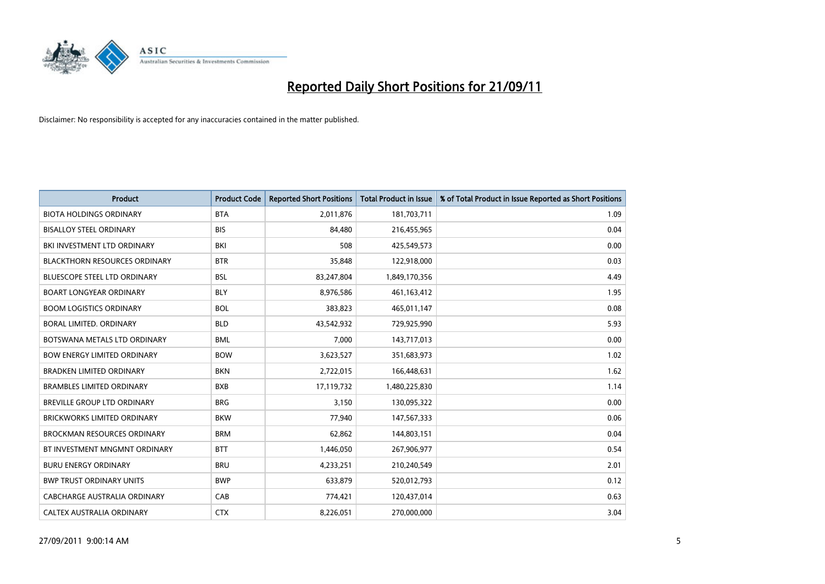

| <b>Product</b>                       | <b>Product Code</b> | <b>Reported Short Positions</b> | <b>Total Product in Issue</b> | % of Total Product in Issue Reported as Short Positions |
|--------------------------------------|---------------------|---------------------------------|-------------------------------|---------------------------------------------------------|
| <b>BIOTA HOLDINGS ORDINARY</b>       | <b>BTA</b>          | 2,011,876                       | 181,703,711                   | 1.09                                                    |
| <b>BISALLOY STEEL ORDINARY</b>       | <b>BIS</b>          | 84,480                          | 216,455,965                   | 0.04                                                    |
| BKI INVESTMENT LTD ORDINARY          | BKI                 | 508                             | 425,549,573                   | 0.00                                                    |
| <b>BLACKTHORN RESOURCES ORDINARY</b> | <b>BTR</b>          | 35,848                          | 122,918,000                   | 0.03                                                    |
| <b>BLUESCOPE STEEL LTD ORDINARY</b>  | <b>BSL</b>          | 83,247,804                      | 1,849,170,356                 | 4.49                                                    |
| <b>BOART LONGYEAR ORDINARY</b>       | <b>BLY</b>          | 8,976,586                       | 461,163,412                   | 1.95                                                    |
| <b>BOOM LOGISTICS ORDINARY</b>       | <b>BOL</b>          | 383,823                         | 465,011,147                   | 0.08                                                    |
| BORAL LIMITED, ORDINARY              | <b>BLD</b>          | 43,542,932                      | 729,925,990                   | 5.93                                                    |
| BOTSWANA METALS LTD ORDINARY         | <b>BML</b>          | 7,000                           | 143,717,013                   | 0.00                                                    |
| <b>BOW ENERGY LIMITED ORDINARY</b>   | <b>BOW</b>          | 3,623,527                       | 351,683,973                   | 1.02                                                    |
| <b>BRADKEN LIMITED ORDINARY</b>      | <b>BKN</b>          | 2,722,015                       | 166,448,631                   | 1.62                                                    |
| <b>BRAMBLES LIMITED ORDINARY</b>     | <b>BXB</b>          | 17,119,732                      | 1,480,225,830                 | 1.14                                                    |
| <b>BREVILLE GROUP LTD ORDINARY</b>   | <b>BRG</b>          | 3,150                           | 130,095,322                   | 0.00                                                    |
| <b>BRICKWORKS LIMITED ORDINARY</b>   | <b>BKW</b>          | 77,940                          | 147,567,333                   | 0.06                                                    |
| <b>BROCKMAN RESOURCES ORDINARY</b>   | <b>BRM</b>          | 62,862                          | 144,803,151                   | 0.04                                                    |
| BT INVESTMENT MNGMNT ORDINARY        | <b>BTT</b>          | 1,446,050                       | 267,906,977                   | 0.54                                                    |
| <b>BURU ENERGY ORDINARY</b>          | <b>BRU</b>          | 4,233,251                       | 210,240,549                   | 2.01                                                    |
| <b>BWP TRUST ORDINARY UNITS</b>      | <b>BWP</b>          | 633,879                         | 520,012,793                   | 0.12                                                    |
| CABCHARGE AUSTRALIA ORDINARY         | CAB                 | 774,421                         | 120,437,014                   | 0.63                                                    |
| CALTEX AUSTRALIA ORDINARY            | <b>CTX</b>          | 8,226,051                       | 270,000,000                   | 3.04                                                    |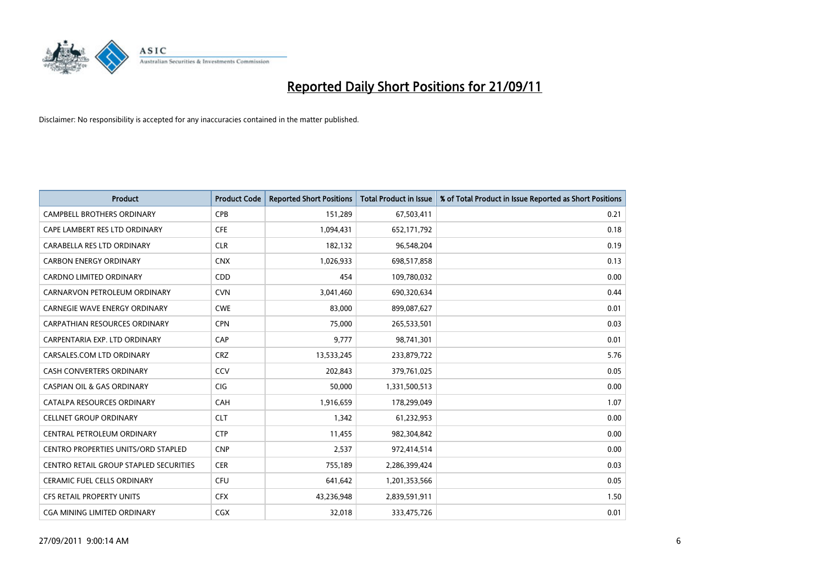

| <b>Product</b>                         | <b>Product Code</b> | <b>Reported Short Positions</b> | <b>Total Product in Issue</b> | % of Total Product in Issue Reported as Short Positions |
|----------------------------------------|---------------------|---------------------------------|-------------------------------|---------------------------------------------------------|
| <b>CAMPBELL BROTHERS ORDINARY</b>      | <b>CPB</b>          | 151,289                         | 67,503,411                    | 0.21                                                    |
| CAPE LAMBERT RES LTD ORDINARY          | <b>CFE</b>          | 1,094,431                       | 652,171,792                   | 0.18                                                    |
| CARABELLA RES LTD ORDINARY             | <b>CLR</b>          | 182,132                         | 96,548,204                    | 0.19                                                    |
| <b>CARBON ENERGY ORDINARY</b>          | <b>CNX</b>          | 1,026,933                       | 698,517,858                   | 0.13                                                    |
| <b>CARDNO LIMITED ORDINARY</b>         | <b>CDD</b>          | 454                             | 109,780,032                   | 0.00                                                    |
| CARNARVON PETROLEUM ORDINARY           | <b>CVN</b>          | 3,041,460                       | 690,320,634                   | 0.44                                                    |
| <b>CARNEGIE WAVE ENERGY ORDINARY</b>   | <b>CWE</b>          | 83.000                          | 899,087,627                   | 0.01                                                    |
| <b>CARPATHIAN RESOURCES ORDINARY</b>   | <b>CPN</b>          | 75,000                          | 265,533,501                   | 0.03                                                    |
| CARPENTARIA EXP. LTD ORDINARY          | CAP                 | 9,777                           | 98,741,301                    | 0.01                                                    |
| CARSALES.COM LTD ORDINARY              | <b>CRZ</b>          | 13,533,245                      | 233,879,722                   | 5.76                                                    |
| CASH CONVERTERS ORDINARY               | CCV                 | 202,843                         | 379,761,025                   | 0.05                                                    |
| <b>CASPIAN OIL &amp; GAS ORDINARY</b>  | <b>CIG</b>          | 50,000                          | 1,331,500,513                 | 0.00                                                    |
| CATALPA RESOURCES ORDINARY             | CAH                 | 1,916,659                       | 178,299,049                   | 1.07                                                    |
| <b>CELLNET GROUP ORDINARY</b>          | <b>CLT</b>          | 1,342                           | 61,232,953                    | 0.00                                                    |
| CENTRAL PETROLEUM ORDINARY             | <b>CTP</b>          | 11,455                          | 982,304,842                   | 0.00                                                    |
| CENTRO PROPERTIES UNITS/ORD STAPLED    | <b>CNP</b>          | 2,537                           | 972,414,514                   | 0.00                                                    |
| CENTRO RETAIL GROUP STAPLED SECURITIES | <b>CER</b>          | 755,189                         | 2,286,399,424                 | 0.03                                                    |
| CERAMIC FUEL CELLS ORDINARY            | CFU                 | 641,642                         | 1,201,353,566                 | 0.05                                                    |
| <b>CFS RETAIL PROPERTY UNITS</b>       | <b>CFX</b>          | 43,236,948                      | 2,839,591,911                 | 1.50                                                    |
| CGA MINING LIMITED ORDINARY            | <b>CGX</b>          | 32,018                          | 333,475,726                   | 0.01                                                    |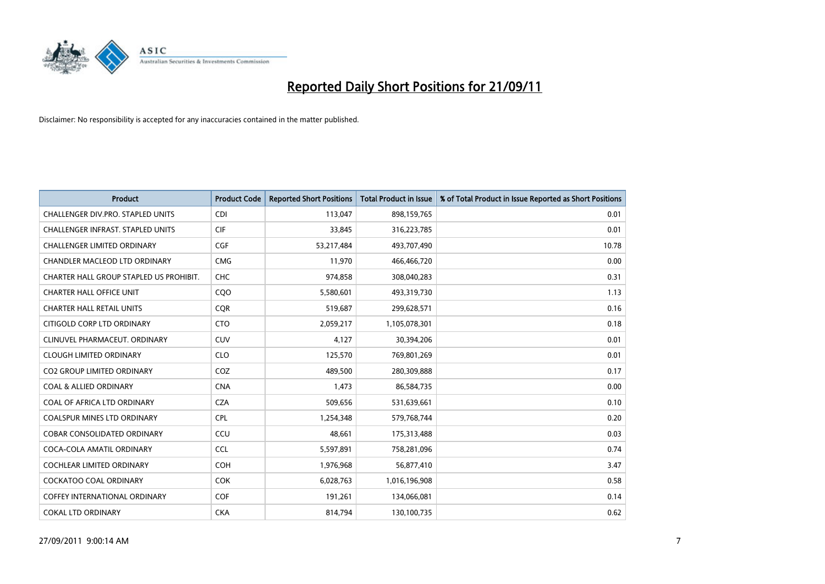

| <b>Product</b>                          | <b>Product Code</b> | <b>Reported Short Positions</b> | <b>Total Product in Issue</b> | % of Total Product in Issue Reported as Short Positions |
|-----------------------------------------|---------------------|---------------------------------|-------------------------------|---------------------------------------------------------|
| CHALLENGER DIV.PRO. STAPLED UNITS       | <b>CDI</b>          | 113,047                         | 898,159,765                   | 0.01                                                    |
| CHALLENGER INFRAST. STAPLED UNITS       | <b>CIF</b>          | 33,845                          | 316,223,785                   | 0.01                                                    |
| <b>CHALLENGER LIMITED ORDINARY</b>      | <b>CGF</b>          | 53,217,484                      | 493,707,490                   | 10.78                                                   |
| CHANDLER MACLEOD LTD ORDINARY           | <b>CMG</b>          | 11,970                          | 466,466,720                   | 0.00                                                    |
| CHARTER HALL GROUP STAPLED US PROHIBIT. | <b>CHC</b>          | 974,858                         | 308,040,283                   | 0.31                                                    |
| <b>CHARTER HALL OFFICE UNIT</b>         | COO                 | 5,580,601                       | 493,319,730                   | 1.13                                                    |
| <b>CHARTER HALL RETAIL UNITS</b>        | <b>COR</b>          | 519,687                         | 299,628,571                   | 0.16                                                    |
| CITIGOLD CORP LTD ORDINARY              | <b>CTO</b>          | 2,059,217                       | 1,105,078,301                 | 0.18                                                    |
| CLINUVEL PHARMACEUT, ORDINARY           | <b>CUV</b>          | 4,127                           | 30,394,206                    | 0.01                                                    |
| <b>CLOUGH LIMITED ORDINARY</b>          | <b>CLO</b>          | 125,570                         | 769,801,269                   | 0.01                                                    |
| CO2 GROUP LIMITED ORDINARY              | COZ                 | 489,500                         | 280,309,888                   | 0.17                                                    |
| <b>COAL &amp; ALLIED ORDINARY</b>       | <b>CNA</b>          | 1,473                           | 86,584,735                    | 0.00                                                    |
| COAL OF AFRICA LTD ORDINARY             | <b>CZA</b>          | 509,656                         | 531,639,661                   | 0.10                                                    |
| <b>COALSPUR MINES LTD ORDINARY</b>      | <b>CPL</b>          | 1,254,348                       | 579,768,744                   | 0.20                                                    |
| <b>COBAR CONSOLIDATED ORDINARY</b>      | CCU                 | 48,661                          | 175,313,488                   | 0.03                                                    |
| COCA-COLA AMATIL ORDINARY               | <b>CCL</b>          | 5,597,891                       | 758,281,096                   | 0.74                                                    |
| COCHLEAR LIMITED ORDINARY               | <b>COH</b>          | 1,976,968                       | 56,877,410                    | 3.47                                                    |
| COCKATOO COAL ORDINARY                  | <b>COK</b>          | 6,028,763                       | 1,016,196,908                 | 0.58                                                    |
| <b>COFFEY INTERNATIONAL ORDINARY</b>    | <b>COF</b>          | 191,261                         | 134,066,081                   | 0.14                                                    |
| <b>COKAL LTD ORDINARY</b>               | <b>CKA</b>          | 814,794                         | 130,100,735                   | 0.62                                                    |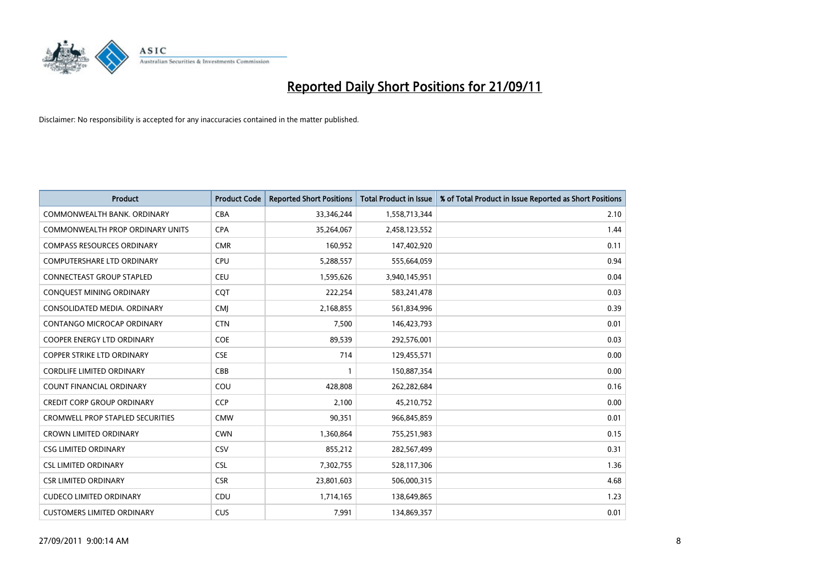

| <b>Product</b>                          | <b>Product Code</b> | <b>Reported Short Positions</b> | <b>Total Product in Issue</b> | % of Total Product in Issue Reported as Short Positions |
|-----------------------------------------|---------------------|---------------------------------|-------------------------------|---------------------------------------------------------|
| COMMONWEALTH BANK, ORDINARY             | <b>CBA</b>          | 33,346,244                      | 1,558,713,344                 | 2.10                                                    |
| COMMONWEALTH PROP ORDINARY UNITS        | <b>CPA</b>          | 35,264,067                      | 2,458,123,552                 | 1.44                                                    |
| <b>COMPASS RESOURCES ORDINARY</b>       | <b>CMR</b>          | 160,952                         | 147,402,920                   | 0.11                                                    |
| <b>COMPUTERSHARE LTD ORDINARY</b>       | CPU                 | 5,288,557                       | 555,664,059                   | 0.94                                                    |
| <b>CONNECTEAST GROUP STAPLED</b>        | <b>CEU</b>          | 1,595,626                       | 3,940,145,951                 | 0.04                                                    |
| CONQUEST MINING ORDINARY                | COT                 | 222,254                         | 583,241,478                   | 0.03                                                    |
| CONSOLIDATED MEDIA, ORDINARY            | <b>CMI</b>          | 2,168,855                       | 561,834,996                   | 0.39                                                    |
| CONTANGO MICROCAP ORDINARY              | <b>CTN</b>          | 7,500                           | 146,423,793                   | 0.01                                                    |
| COOPER ENERGY LTD ORDINARY              | <b>COE</b>          | 89,539                          | 292,576,001                   | 0.03                                                    |
| <b>COPPER STRIKE LTD ORDINARY</b>       | <b>CSE</b>          | 714                             | 129,455,571                   | 0.00                                                    |
| <b>CORDLIFE LIMITED ORDINARY</b>        | CBB                 |                                 | 150,887,354                   | 0.00                                                    |
| COUNT FINANCIAL ORDINARY                | COU                 | 428,808                         | 262,282,684                   | 0.16                                                    |
| <b>CREDIT CORP GROUP ORDINARY</b>       | <b>CCP</b>          | 2,100                           | 45,210,752                    | 0.00                                                    |
| <b>CROMWELL PROP STAPLED SECURITIES</b> | <b>CMW</b>          | 90,351                          | 966,845,859                   | 0.01                                                    |
| <b>CROWN LIMITED ORDINARY</b>           | <b>CWN</b>          | 1,360,864                       | 755,251,983                   | 0.15                                                    |
| <b>CSG LIMITED ORDINARY</b>             | CSV                 | 855,212                         | 282,567,499                   | 0.31                                                    |
| <b>CSL LIMITED ORDINARY</b>             | <b>CSL</b>          | 7,302,755                       | 528,117,306                   | 1.36                                                    |
| <b>CSR LIMITED ORDINARY</b>             | <b>CSR</b>          | 23,801,603                      | 506,000,315                   | 4.68                                                    |
| <b>CUDECO LIMITED ORDINARY</b>          | CDU                 | 1,714,165                       | 138,649,865                   | 1.23                                                    |
| <b>CUSTOMERS LIMITED ORDINARY</b>       | <b>CUS</b>          | 7,991                           | 134,869,357                   | 0.01                                                    |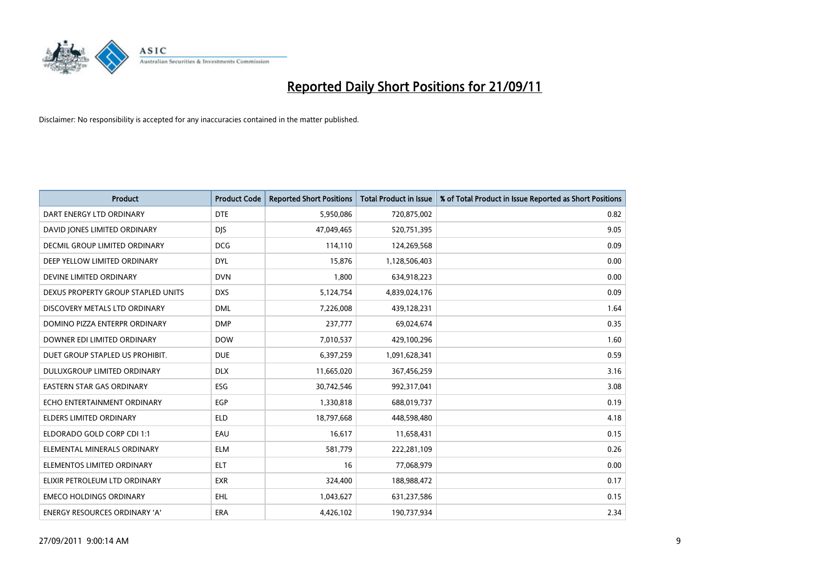

| <b>Product</b>                       | <b>Product Code</b> | <b>Reported Short Positions</b> | <b>Total Product in Issue</b> | % of Total Product in Issue Reported as Short Positions |
|--------------------------------------|---------------------|---------------------------------|-------------------------------|---------------------------------------------------------|
| DART ENERGY LTD ORDINARY             | <b>DTE</b>          | 5,950,086                       | 720,875,002                   | 0.82                                                    |
| DAVID JONES LIMITED ORDINARY         | <b>DIS</b>          | 47,049,465                      | 520,751,395                   | 9.05                                                    |
| <b>DECMIL GROUP LIMITED ORDINARY</b> | <b>DCG</b>          | 114,110                         | 124,269,568                   | 0.09                                                    |
| DEEP YELLOW LIMITED ORDINARY         | <b>DYL</b>          | 15,876                          | 1,128,506,403                 | 0.00                                                    |
| DEVINE LIMITED ORDINARY              | <b>DVN</b>          | 1,800                           | 634,918,223                   | 0.00                                                    |
| DEXUS PROPERTY GROUP STAPLED UNITS   | <b>DXS</b>          | 5,124,754                       | 4,839,024,176                 | 0.09                                                    |
| DISCOVERY METALS LTD ORDINARY        | <b>DML</b>          | 7,226,008                       | 439,128,231                   | 1.64                                                    |
| DOMINO PIZZA ENTERPR ORDINARY        | <b>DMP</b>          | 237,777                         | 69,024,674                    | 0.35                                                    |
| DOWNER EDI LIMITED ORDINARY          | <b>DOW</b>          | 7,010,537                       | 429,100,296                   | 1.60                                                    |
| DUET GROUP STAPLED US PROHIBIT.      | <b>DUE</b>          | 6,397,259                       | 1,091,628,341                 | 0.59                                                    |
| DULUXGROUP LIMITED ORDINARY          | <b>DLX</b>          | 11,665,020                      | 367,456,259                   | 3.16                                                    |
| <b>EASTERN STAR GAS ORDINARY</b>     | ESG                 | 30,742,546                      | 992,317,041                   | 3.08                                                    |
| ECHO ENTERTAINMENT ORDINARY          | EGP                 | 1,330,818                       | 688,019,737                   | 0.19                                                    |
| <b>ELDERS LIMITED ORDINARY</b>       | <b>ELD</b>          | 18,797,668                      | 448,598,480                   | 4.18                                                    |
| ELDORADO GOLD CORP CDI 1:1           | EAU                 | 16,617                          | 11,658,431                    | 0.15                                                    |
| ELEMENTAL MINERALS ORDINARY          | <b>ELM</b>          | 581,779                         | 222,281,109                   | 0.26                                                    |
| ELEMENTOS LIMITED ORDINARY           | <b>ELT</b>          | 16                              | 77,068,979                    | 0.00                                                    |
| ELIXIR PETROLEUM LTD ORDINARY        | <b>EXR</b>          | 324,400                         | 188,988,472                   | 0.17                                                    |
| <b>EMECO HOLDINGS ORDINARY</b>       | <b>EHL</b>          | 1,043,627                       | 631,237,586                   | 0.15                                                    |
| ENERGY RESOURCES ORDINARY 'A'        | ERA                 | 4,426,102                       | 190,737,934                   | 2.34                                                    |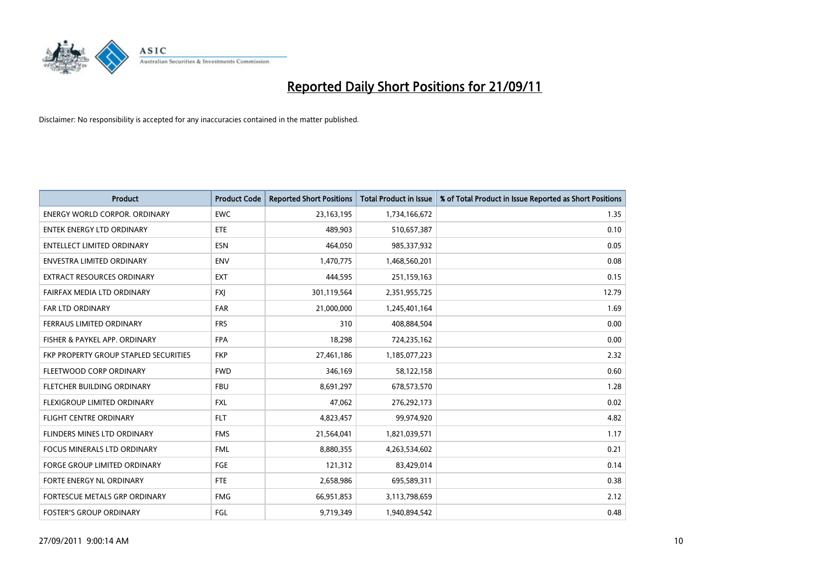

| <b>Product</b>                               | <b>Product Code</b> | <b>Reported Short Positions</b> | <b>Total Product in Issue</b> | % of Total Product in Issue Reported as Short Positions |
|----------------------------------------------|---------------------|---------------------------------|-------------------------------|---------------------------------------------------------|
| <b>ENERGY WORLD CORPOR, ORDINARY</b>         | <b>EWC</b>          | 23, 163, 195                    | 1,734,166,672                 | 1.35                                                    |
| ENTEK ENERGY LTD ORDINARY                    | ETE                 | 489,903                         | 510,657,387                   | 0.10                                                    |
| <b>ENTELLECT LIMITED ORDINARY</b>            | <b>ESN</b>          | 464,050                         | 985,337,932                   | 0.05                                                    |
| <b>ENVESTRA LIMITED ORDINARY</b>             | <b>ENV</b>          | 1,470,775                       | 1,468,560,201                 | 0.08                                                    |
| <b>EXTRACT RESOURCES ORDINARY</b>            | <b>EXT</b>          | 444,595                         | 251,159,163                   | 0.15                                                    |
| FAIRFAX MEDIA LTD ORDINARY                   | <b>FXI</b>          | 301,119,564                     | 2,351,955,725                 | 12.79                                                   |
| <b>FAR LTD ORDINARY</b>                      | <b>FAR</b>          | 21,000,000                      | 1,245,401,164                 | 1.69                                                    |
| FERRAUS LIMITED ORDINARY                     | <b>FRS</b>          | 310                             | 408,884,504                   | 0.00                                                    |
| FISHER & PAYKEL APP. ORDINARY                | <b>FPA</b>          | 18,298                          | 724,235,162                   | 0.00                                                    |
| <b>FKP PROPERTY GROUP STAPLED SECURITIES</b> | <b>FKP</b>          | 27,461,186                      | 1,185,077,223                 | 2.32                                                    |
| FLEETWOOD CORP ORDINARY                      | <b>FWD</b>          | 346,169                         | 58,122,158                    | 0.60                                                    |
| FLETCHER BUILDING ORDINARY                   | <b>FBU</b>          | 8,691,297                       | 678,573,570                   | 1.28                                                    |
| FLEXIGROUP LIMITED ORDINARY                  | <b>FXL</b>          | 47,062                          | 276,292,173                   | 0.02                                                    |
| <b>FLIGHT CENTRE ORDINARY</b>                | <b>FLT</b>          | 4,823,457                       | 99,974,920                    | 4.82                                                    |
| FLINDERS MINES LTD ORDINARY                  | <b>FMS</b>          | 21,564,041                      | 1,821,039,571                 | 1.17                                                    |
| <b>FOCUS MINERALS LTD ORDINARY</b>           | <b>FML</b>          | 8,880,355                       | 4,263,534,602                 | 0.21                                                    |
| <b>FORGE GROUP LIMITED ORDINARY</b>          | FGE                 | 121,312                         | 83,429,014                    | 0.14                                                    |
| FORTE ENERGY NL ORDINARY                     | <b>FTE</b>          | 2,658,986                       | 695,589,311                   | 0.38                                                    |
| FORTESCUE METALS GRP ORDINARY                | <b>FMG</b>          | 66,951,853                      | 3,113,798,659                 | 2.12                                                    |
| <b>FOSTER'S GROUP ORDINARY</b>               | FGL                 | 9,719,349                       | 1,940,894,542                 | 0.48                                                    |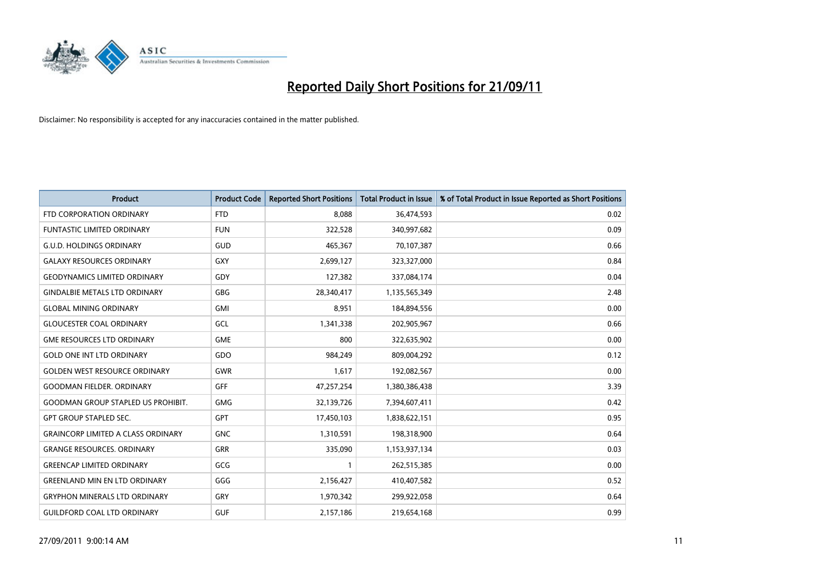

| <b>Product</b>                            | <b>Product Code</b> | <b>Reported Short Positions</b> | <b>Total Product in Issue</b> | % of Total Product in Issue Reported as Short Positions |
|-------------------------------------------|---------------------|---------------------------------|-------------------------------|---------------------------------------------------------|
| FTD CORPORATION ORDINARY                  | <b>FTD</b>          | 8.088                           | 36,474,593                    | 0.02                                                    |
| FUNTASTIC LIMITED ORDINARY                | <b>FUN</b>          | 322,528                         | 340,997,682                   | 0.09                                                    |
| <b>G.U.D. HOLDINGS ORDINARY</b>           | GUD                 | 465,367                         | 70,107,387                    | 0.66                                                    |
| <b>GALAXY RESOURCES ORDINARY</b>          | <b>GXY</b>          | 2,699,127                       | 323,327,000                   | 0.84                                                    |
| <b>GEODYNAMICS LIMITED ORDINARY</b>       | GDY                 | 127,382                         | 337,084,174                   | 0.04                                                    |
| <b>GINDALBIE METALS LTD ORDINARY</b>      | GBG                 | 28,340,417                      | 1,135,565,349                 | 2.48                                                    |
| <b>GLOBAL MINING ORDINARY</b>             | <b>GMI</b>          | 8,951                           | 184,894,556                   | 0.00                                                    |
| <b>GLOUCESTER COAL ORDINARY</b>           | GCL                 | 1,341,338                       | 202,905,967                   | 0.66                                                    |
| <b>GME RESOURCES LTD ORDINARY</b>         | <b>GME</b>          | 800                             | 322,635,902                   | 0.00                                                    |
| <b>GOLD ONE INT LTD ORDINARY</b>          | <b>GDO</b>          | 984,249                         | 809,004,292                   | 0.12                                                    |
| <b>GOLDEN WEST RESOURCE ORDINARY</b>      | <b>GWR</b>          | 1,617                           | 192,082,567                   | 0.00                                                    |
| <b>GOODMAN FIELDER, ORDINARY</b>          | <b>GFF</b>          | 47,257,254                      | 1,380,386,438                 | 3.39                                                    |
| <b>GOODMAN GROUP STAPLED US PROHIBIT.</b> | <b>GMG</b>          | 32,139,726                      | 7,394,607,411                 | 0.42                                                    |
| <b>GPT GROUP STAPLED SEC.</b>             | <b>GPT</b>          | 17,450,103                      | 1,838,622,151                 | 0.95                                                    |
| <b>GRAINCORP LIMITED A CLASS ORDINARY</b> | <b>GNC</b>          | 1,310,591                       | 198,318,900                   | 0.64                                                    |
| <b>GRANGE RESOURCES. ORDINARY</b>         | GRR                 | 335,090                         | 1,153,937,134                 | 0.03                                                    |
| <b>GREENCAP LIMITED ORDINARY</b>          | GCG                 |                                 | 262,515,385                   | 0.00                                                    |
| <b>GREENLAND MIN EN LTD ORDINARY</b>      | GGG                 | 2,156,427                       | 410,407,582                   | 0.52                                                    |
| <b>GRYPHON MINERALS LTD ORDINARY</b>      | <b>GRY</b>          | 1,970,342                       | 299,922,058                   | 0.64                                                    |
| <b>GUILDFORD COAL LTD ORDINARY</b>        | <b>GUF</b>          | 2,157,186                       | 219,654,168                   | 0.99                                                    |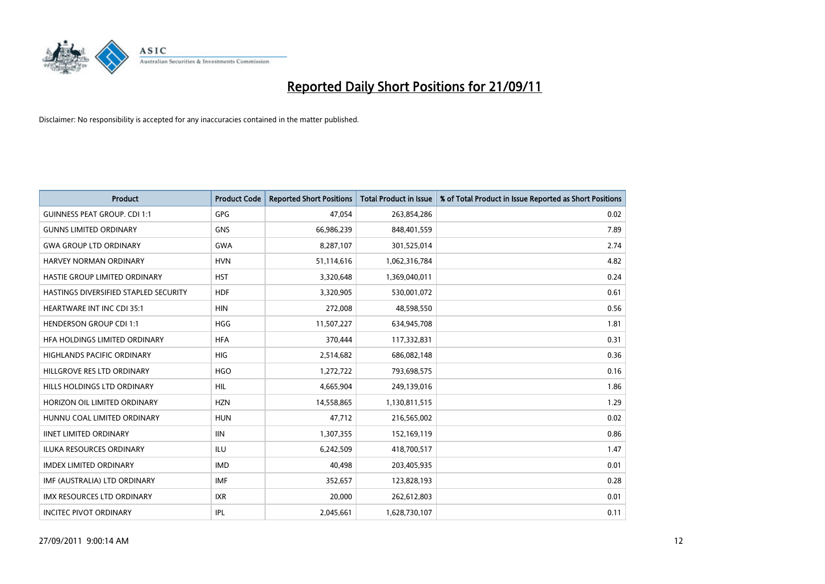

| <b>Product</b>                        | <b>Product Code</b> | <b>Reported Short Positions</b> | <b>Total Product in Issue</b> | % of Total Product in Issue Reported as Short Positions |
|---------------------------------------|---------------------|---------------------------------|-------------------------------|---------------------------------------------------------|
| <b>GUINNESS PEAT GROUP. CDI 1:1</b>   | GPG                 | 47,054                          | 263,854,286                   | 0.02                                                    |
| <b>GUNNS LIMITED ORDINARY</b>         | <b>GNS</b>          | 66,986,239                      | 848,401,559                   | 7.89                                                    |
| <b>GWA GROUP LTD ORDINARY</b>         | <b>GWA</b>          | 8,287,107                       | 301,525,014                   | 2.74                                                    |
| HARVEY NORMAN ORDINARY                | <b>HVN</b>          | 51,114,616                      | 1,062,316,784                 | 4.82                                                    |
| HASTIE GROUP LIMITED ORDINARY         | <b>HST</b>          | 3,320,648                       | 1,369,040,011                 | 0.24                                                    |
| HASTINGS DIVERSIFIED STAPLED SECURITY | <b>HDF</b>          | 3,320,905                       | 530,001,072                   | 0.61                                                    |
| <b>HEARTWARE INT INC CDI 35:1</b>     | <b>HIN</b>          | 272,008                         | 48,598,550                    | 0.56                                                    |
| <b>HENDERSON GROUP CDI 1:1</b>        | <b>HGG</b>          | 11,507,227                      | 634,945,708                   | 1.81                                                    |
| HFA HOLDINGS LIMITED ORDINARY         | <b>HFA</b>          | 370,444                         | 117,332,831                   | 0.31                                                    |
| <b>HIGHLANDS PACIFIC ORDINARY</b>     | HIG                 | 2,514,682                       | 686,082,148                   | 0.36                                                    |
| HILLGROVE RES LTD ORDINARY            | <b>HGO</b>          | 1,272,722                       | 793,698,575                   | 0.16                                                    |
| HILLS HOLDINGS LTD ORDINARY           | <b>HIL</b>          | 4,665,904                       | 249,139,016                   | 1.86                                                    |
| HORIZON OIL LIMITED ORDINARY          | <b>HZN</b>          | 14,558,865                      | 1,130,811,515                 | 1.29                                                    |
| HUNNU COAL LIMITED ORDINARY           | <b>HUN</b>          | 47,712                          | 216,565,002                   | 0.02                                                    |
| <b>IINET LIMITED ORDINARY</b>         | <b>IIN</b>          | 1,307,355                       | 152,169,119                   | 0.86                                                    |
| <b>ILUKA RESOURCES ORDINARY</b>       | ILU                 | 6,242,509                       | 418,700,517                   | 1.47                                                    |
| <b>IMDEX LIMITED ORDINARY</b>         | <b>IMD</b>          | 40,498                          | 203,405,935                   | 0.01                                                    |
| IMF (AUSTRALIA) LTD ORDINARY          | <b>IMF</b>          | 352,657                         | 123,828,193                   | 0.28                                                    |
| IMX RESOURCES LTD ORDINARY            | <b>IXR</b>          | 20,000                          | 262,612,803                   | 0.01                                                    |
| <b>INCITEC PIVOT ORDINARY</b>         | <b>IPL</b>          | 2,045,661                       | 1,628,730,107                 | 0.11                                                    |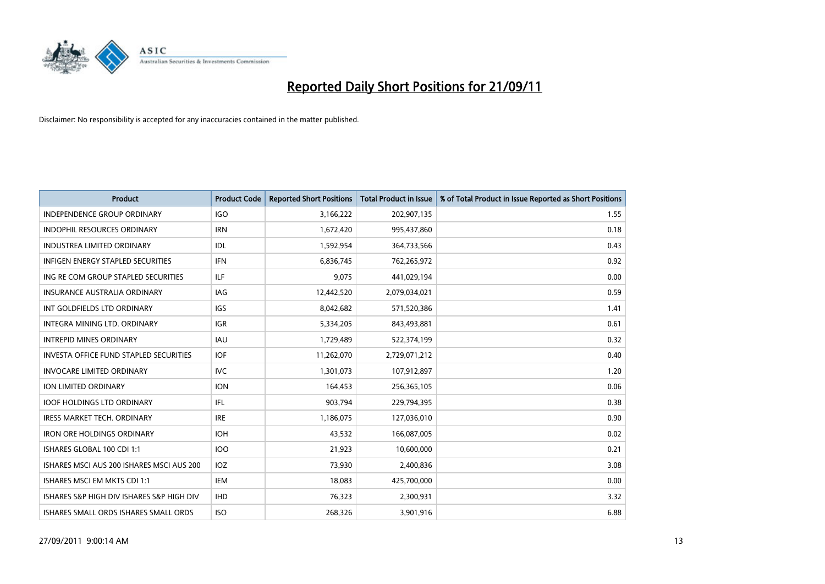

| <b>Product</b>                                | <b>Product Code</b> | <b>Reported Short Positions</b> | <b>Total Product in Issue</b> | % of Total Product in Issue Reported as Short Positions |
|-----------------------------------------------|---------------------|---------------------------------|-------------------------------|---------------------------------------------------------|
| <b>INDEPENDENCE GROUP ORDINARY</b>            | <b>IGO</b>          | 3,166,222                       | 202,907,135                   | 1.55                                                    |
| INDOPHIL RESOURCES ORDINARY                   | <b>IRN</b>          | 1,672,420                       | 995,437,860                   | 0.18                                                    |
| <b>INDUSTREA LIMITED ORDINARY</b>             | IDL                 | 1,592,954                       | 364,733,566                   | 0.43                                                    |
| INFIGEN ENERGY STAPLED SECURITIES             | <b>IFN</b>          | 6,836,745                       | 762,265,972                   | 0.92                                                    |
| ING RE COM GROUP STAPLED SECURITIES           | ILF.                | 9.075                           | 441,029,194                   | 0.00                                                    |
| <b>INSURANCE AUSTRALIA ORDINARY</b>           | IAG                 | 12,442,520                      | 2,079,034,021                 | 0.59                                                    |
| INT GOLDFIELDS LTD ORDINARY                   | <b>IGS</b>          | 8,042,682                       | 571,520,386                   | 1.41                                                    |
| INTEGRA MINING LTD, ORDINARY                  | <b>IGR</b>          | 5,334,205                       | 843,493,881                   | 0.61                                                    |
| <b>INTREPID MINES ORDINARY</b>                | <b>IAU</b>          | 1,729,489                       | 522,374,199                   | 0.32                                                    |
| <b>INVESTA OFFICE FUND STAPLED SECURITIES</b> | <b>IOF</b>          | 11,262,070                      | 2,729,071,212                 | 0.40                                                    |
| <b>INVOCARE LIMITED ORDINARY</b>              | IVC                 | 1,301,073                       | 107,912,897                   | 1.20                                                    |
| <b>ION LIMITED ORDINARY</b>                   | <b>ION</b>          | 164,453                         | 256,365,105                   | 0.06                                                    |
| <b>IOOF HOLDINGS LTD ORDINARY</b>             | <b>IFL</b>          | 903,794                         | 229,794,395                   | 0.38                                                    |
| <b>IRESS MARKET TECH. ORDINARY</b>            | <b>IRE</b>          | 1,186,075                       | 127,036,010                   | 0.90                                                    |
| <b>IRON ORE HOLDINGS ORDINARY</b>             | <b>IOH</b>          | 43,532                          | 166,087,005                   | 0.02                                                    |
| ISHARES GLOBAL 100 CDI 1:1                    | <b>IOO</b>          | 21,923                          | 10,600,000                    | 0.21                                                    |
| ISHARES MSCI AUS 200 ISHARES MSCI AUS 200     | <b>IOZ</b>          | 73,930                          | 2,400,836                     | 3.08                                                    |
| ISHARES MSCI EM MKTS CDI 1:1                  | IEM                 | 18,083                          | 425,700,000                   | 0.00                                                    |
| ISHARES S&P HIGH DIV ISHARES S&P HIGH DIV     | <b>IHD</b>          | 76,323                          | 2,300,931                     | 3.32                                                    |
| ISHARES SMALL ORDS ISHARES SMALL ORDS         | <b>ISO</b>          | 268.326                         | 3,901,916                     | 6.88                                                    |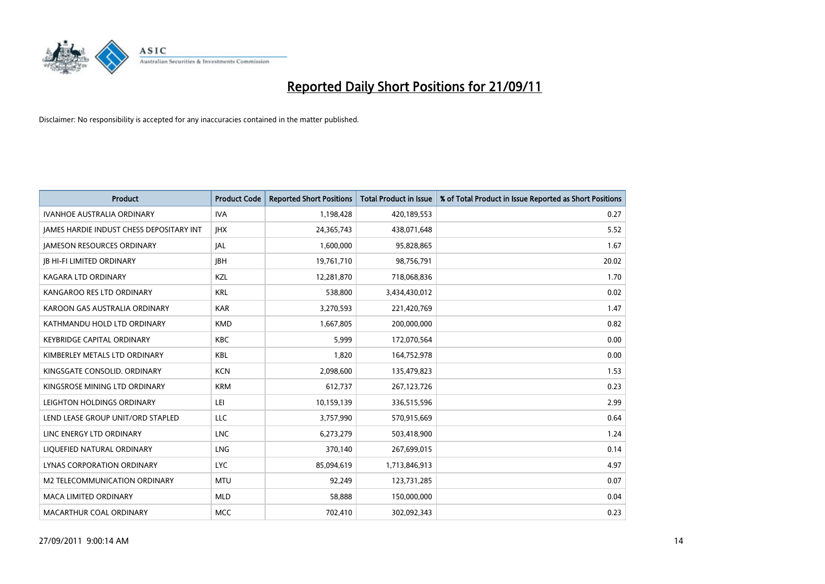

| <b>Product</b>                                  | <b>Product Code</b> | <b>Reported Short Positions</b> | <b>Total Product in Issue</b> | % of Total Product in Issue Reported as Short Positions |
|-------------------------------------------------|---------------------|---------------------------------|-------------------------------|---------------------------------------------------------|
| <b>IVANHOE AUSTRALIA ORDINARY</b>               | <b>IVA</b>          | 1,198,428                       | 420,189,553                   | 0.27                                                    |
| <b>JAMES HARDIE INDUST CHESS DEPOSITARY INT</b> | <b>IHX</b>          | 24,365,743                      | 438,071,648                   | 5.52                                                    |
| <b>JAMESON RESOURCES ORDINARY</b>               | <b>JAL</b>          | 1,600,000                       | 95,828,865                    | 1.67                                                    |
| <b>IB HI-FI LIMITED ORDINARY</b>                | <b>IBH</b>          | 19,761,710                      | 98,756,791                    | 20.02                                                   |
| <b>KAGARA LTD ORDINARY</b>                      | <b>KZL</b>          | 12,281,870                      | 718,068,836                   | 1.70                                                    |
| KANGAROO RES LTD ORDINARY                       | <b>KRL</b>          | 538,800                         | 3,434,430,012                 | 0.02                                                    |
| KAROON GAS AUSTRALIA ORDINARY                   | <b>KAR</b>          | 3,270,593                       | 221,420,769                   | 1.47                                                    |
| KATHMANDU HOLD LTD ORDINARY                     | <b>KMD</b>          | 1,667,805                       | 200,000,000                   | 0.82                                                    |
| KEYBRIDGE CAPITAL ORDINARY                      | <b>KBC</b>          | 5,999                           | 172,070,564                   | 0.00                                                    |
| KIMBERLEY METALS LTD ORDINARY                   | KBL                 | 1,820                           | 164,752,978                   | 0.00                                                    |
| KINGSGATE CONSOLID. ORDINARY                    | <b>KCN</b>          | 2,098,600                       | 135,479,823                   | 1.53                                                    |
| KINGSROSE MINING LTD ORDINARY                   | <b>KRM</b>          | 612,737                         | 267,123,726                   | 0.23                                                    |
| LEIGHTON HOLDINGS ORDINARY                      | LEI                 | 10,159,139                      | 336,515,596                   | 2.99                                                    |
| LEND LEASE GROUP UNIT/ORD STAPLED               | LLC                 | 3,757,990                       | 570,915,669                   | 0.64                                                    |
| LINC ENERGY LTD ORDINARY                        | <b>LNC</b>          | 6,273,279                       | 503,418,900                   | 1.24                                                    |
| LIQUEFIED NATURAL ORDINARY                      | LNG                 | 370,140                         | 267,699,015                   | 0.14                                                    |
| <b>LYNAS CORPORATION ORDINARY</b>               | <b>LYC</b>          | 85,094,619                      | 1,713,846,913                 | 4.97                                                    |
| M2 TELECOMMUNICATION ORDINARY                   | <b>MTU</b>          | 92,249                          | 123,731,285                   | 0.07                                                    |
| <b>MACA LIMITED ORDINARY</b>                    | <b>MLD</b>          | 58,888                          | 150,000,000                   | 0.04                                                    |
| MACARTHUR COAL ORDINARY                         | <b>MCC</b>          | 702.410                         | 302.092.343                   | 0.23                                                    |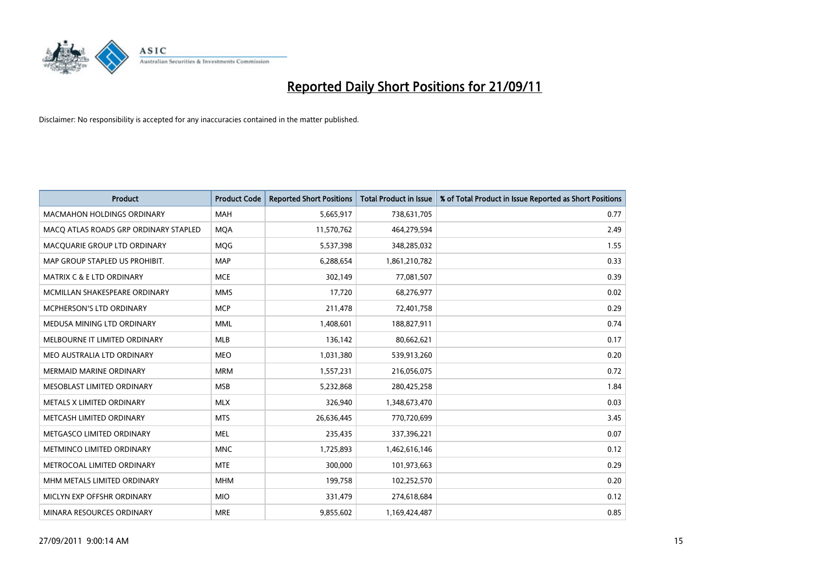

| <b>Product</b>                        | <b>Product Code</b> | <b>Reported Short Positions</b> | <b>Total Product in Issue</b> | % of Total Product in Issue Reported as Short Positions |
|---------------------------------------|---------------------|---------------------------------|-------------------------------|---------------------------------------------------------|
| <b>MACMAHON HOLDINGS ORDINARY</b>     | <b>MAH</b>          | 5,665,917                       | 738,631,705                   | 0.77                                                    |
| MACO ATLAS ROADS GRP ORDINARY STAPLED | <b>MQA</b>          | 11,570,762                      | 464,279,594                   | 2.49                                                    |
| MACOUARIE GROUP LTD ORDINARY          | <b>MOG</b>          | 5,537,398                       | 348,285,032                   | 1.55                                                    |
| MAP GROUP STAPLED US PROHIBIT.        | <b>MAP</b>          | 6,288,654                       | 1,861,210,782                 | 0.33                                                    |
| <b>MATRIX C &amp; E LTD ORDINARY</b>  | <b>MCE</b>          | 302,149                         | 77,081,507                    | 0.39                                                    |
| MCMILLAN SHAKESPEARE ORDINARY         | <b>MMS</b>          | 17,720                          | 68,276,977                    | 0.02                                                    |
| <b>MCPHERSON'S LTD ORDINARY</b>       | <b>MCP</b>          | 211,478                         | 72,401,758                    | 0.29                                                    |
| MEDUSA MINING LTD ORDINARY            | <b>MML</b>          | 1,408,601                       | 188,827,911                   | 0.74                                                    |
| MELBOURNE IT LIMITED ORDINARY         | <b>MLB</b>          | 136,142                         | 80,662,621                    | 0.17                                                    |
| MEO AUSTRALIA LTD ORDINARY            | <b>MEO</b>          | 1,031,380                       | 539,913,260                   | 0.20                                                    |
| MERMAID MARINE ORDINARY               | <b>MRM</b>          | 1,557,231                       | 216,056,075                   | 0.72                                                    |
| MESOBLAST LIMITED ORDINARY            | <b>MSB</b>          | 5,232,868                       | 280,425,258                   | 1.84                                                    |
| METALS X LIMITED ORDINARY             | <b>MLX</b>          | 326,940                         | 1,348,673,470                 | 0.03                                                    |
| METCASH LIMITED ORDINARY              | <b>MTS</b>          | 26,636,445                      | 770,720,699                   | 3.45                                                    |
| METGASCO LIMITED ORDINARY             | <b>MEL</b>          | 235,435                         | 337,396,221                   | 0.07                                                    |
| METMINCO LIMITED ORDINARY             | <b>MNC</b>          | 1,725,893                       | 1,462,616,146                 | 0.12                                                    |
| METROCOAL LIMITED ORDINARY            | <b>MTE</b>          | 300,000                         | 101,973,663                   | 0.29                                                    |
| MHM METALS LIMITED ORDINARY           | <b>MHM</b>          | 199,758                         | 102,252,570                   | 0.20                                                    |
| MICLYN EXP OFFSHR ORDINARY            | <b>MIO</b>          | 331,479                         | 274,618,684                   | 0.12                                                    |
| MINARA RESOURCES ORDINARY             | <b>MRE</b>          | 9,855,602                       | 1,169,424,487                 | 0.85                                                    |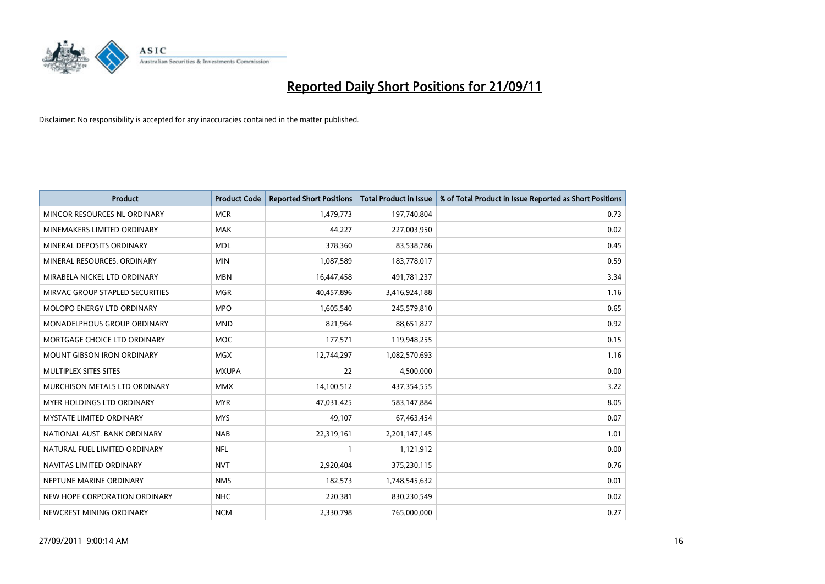

| <b>Product</b>                    | <b>Product Code</b> | <b>Reported Short Positions</b> | <b>Total Product in Issue</b> | % of Total Product in Issue Reported as Short Positions |
|-----------------------------------|---------------------|---------------------------------|-------------------------------|---------------------------------------------------------|
| MINCOR RESOURCES NL ORDINARY      | <b>MCR</b>          | 1,479,773                       | 197,740,804                   | 0.73                                                    |
| MINEMAKERS LIMITED ORDINARY       | <b>MAK</b>          | 44,227                          | 227,003,950                   | 0.02                                                    |
| MINERAL DEPOSITS ORDINARY         | <b>MDL</b>          | 378,360                         | 83,538,786                    | 0.45                                                    |
| MINERAL RESOURCES. ORDINARY       | <b>MIN</b>          | 1,087,589                       | 183,778,017                   | 0.59                                                    |
| MIRABELA NICKEL LTD ORDINARY      | <b>MBN</b>          | 16,447,458                      | 491,781,237                   | 3.34                                                    |
| MIRVAC GROUP STAPLED SECURITIES   | <b>MGR</b>          | 40,457,896                      | 3,416,924,188                 | 1.16                                                    |
| <b>MOLOPO ENERGY LTD ORDINARY</b> | <b>MPO</b>          | 1,605,540                       | 245,579,810                   | 0.65                                                    |
| MONADELPHOUS GROUP ORDINARY       | <b>MND</b>          | 821,964                         | 88,651,827                    | 0.92                                                    |
| MORTGAGE CHOICE LTD ORDINARY      | <b>MOC</b>          | 177,571                         | 119,948,255                   | 0.15                                                    |
| <b>MOUNT GIBSON IRON ORDINARY</b> | <b>MGX</b>          | 12,744,297                      | 1,082,570,693                 | 1.16                                                    |
| MULTIPLEX SITES SITES             | <b>MXUPA</b>        | 22                              | 4,500,000                     | 0.00                                                    |
| MURCHISON METALS LTD ORDINARY     | <b>MMX</b>          | 14,100,512                      | 437,354,555                   | 3.22                                                    |
| MYER HOLDINGS LTD ORDINARY        | <b>MYR</b>          | 47,031,425                      | 583,147,884                   | 8.05                                                    |
| <b>MYSTATE LIMITED ORDINARY</b>   | <b>MYS</b>          | 49,107                          | 67,463,454                    | 0.07                                                    |
| NATIONAL AUST, BANK ORDINARY      | <b>NAB</b>          | 22,319,161                      | 2,201,147,145                 | 1.01                                                    |
| NATURAL FUEL LIMITED ORDINARY     | <b>NFL</b>          |                                 | 1,121,912                     | 0.00                                                    |
| NAVITAS LIMITED ORDINARY          | <b>NVT</b>          | 2,920,404                       | 375,230,115                   | 0.76                                                    |
| NEPTUNE MARINE ORDINARY           | <b>NMS</b>          | 182,573                         | 1,748,545,632                 | 0.01                                                    |
| NEW HOPE CORPORATION ORDINARY     | <b>NHC</b>          | 220,381                         | 830,230,549                   | 0.02                                                    |
| NEWCREST MINING ORDINARY          | <b>NCM</b>          | 2,330,798                       | 765,000,000                   | 0.27                                                    |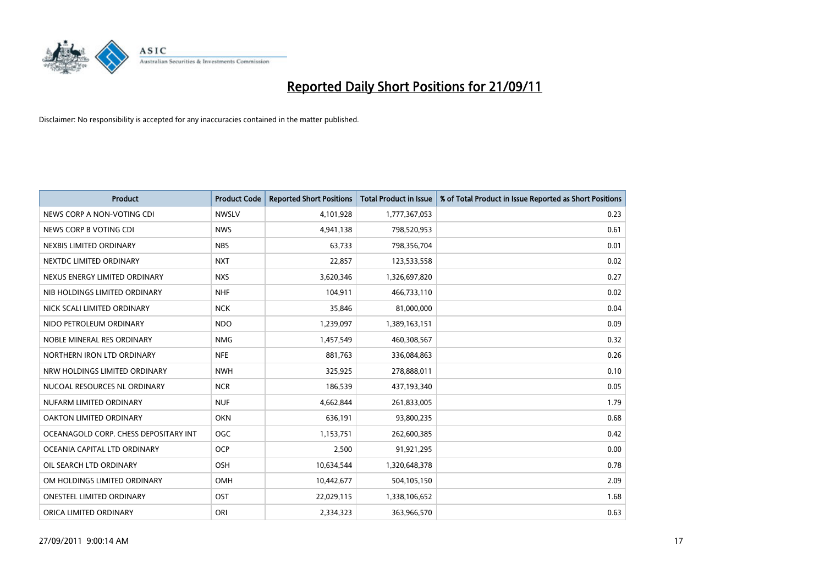

| <b>Product</b>                        | <b>Product Code</b> | <b>Reported Short Positions</b> | <b>Total Product in Issue</b> | % of Total Product in Issue Reported as Short Positions |
|---------------------------------------|---------------------|---------------------------------|-------------------------------|---------------------------------------------------------|
| NEWS CORP A NON-VOTING CDI            | <b>NWSLV</b>        | 4,101,928                       | 1,777,367,053                 | 0.23                                                    |
| NEWS CORP B VOTING CDI                | <b>NWS</b>          | 4,941,138                       | 798,520,953                   | 0.61                                                    |
| NEXBIS LIMITED ORDINARY               | <b>NBS</b>          | 63,733                          | 798,356,704                   | 0.01                                                    |
| NEXTDC LIMITED ORDINARY               | <b>NXT</b>          | 22,857                          | 123,533,558                   | 0.02                                                    |
| NEXUS ENERGY LIMITED ORDINARY         | <b>NXS</b>          | 3,620,346                       | 1,326,697,820                 | 0.27                                                    |
| NIB HOLDINGS LIMITED ORDINARY         | <b>NHF</b>          | 104,911                         | 466,733,110                   | 0.02                                                    |
| NICK SCALI LIMITED ORDINARY           | <b>NCK</b>          | 35,846                          | 81,000,000                    | 0.04                                                    |
| NIDO PETROLEUM ORDINARY               | <b>NDO</b>          | 1,239,097                       | 1,389,163,151                 | 0.09                                                    |
| NOBLE MINERAL RES ORDINARY            | <b>NMG</b>          | 1,457,549                       | 460,308,567                   | 0.32                                                    |
| NORTHERN IRON LTD ORDINARY            | <b>NFE</b>          | 881,763                         | 336,084,863                   | 0.26                                                    |
| NRW HOLDINGS LIMITED ORDINARY         | <b>NWH</b>          | 325,925                         | 278,888,011                   | 0.10                                                    |
| NUCOAL RESOURCES NL ORDINARY          | <b>NCR</b>          | 186,539                         | 437,193,340                   | 0.05                                                    |
| NUFARM LIMITED ORDINARY               | <b>NUF</b>          | 4,662,844                       | 261,833,005                   | 1.79                                                    |
| OAKTON LIMITED ORDINARY               | <b>OKN</b>          | 636,191                         | 93,800,235                    | 0.68                                                    |
| OCEANAGOLD CORP. CHESS DEPOSITARY INT | <b>OGC</b>          | 1,153,751                       | 262,600,385                   | 0.42                                                    |
| OCEANIA CAPITAL LTD ORDINARY          | <b>OCP</b>          | 2,500                           | 91,921,295                    | 0.00                                                    |
| OIL SEARCH LTD ORDINARY               | OSH                 | 10,634,544                      | 1,320,648,378                 | 0.78                                                    |
| OM HOLDINGS LIMITED ORDINARY          | OMH                 | 10,442,677                      | 504,105,150                   | 2.09                                                    |
| <b>ONESTEEL LIMITED ORDINARY</b>      | OST                 | 22,029,115                      | 1,338,106,652                 | 1.68                                                    |
| ORICA LIMITED ORDINARY                | ORI                 | 2,334,323                       | 363,966,570                   | 0.63                                                    |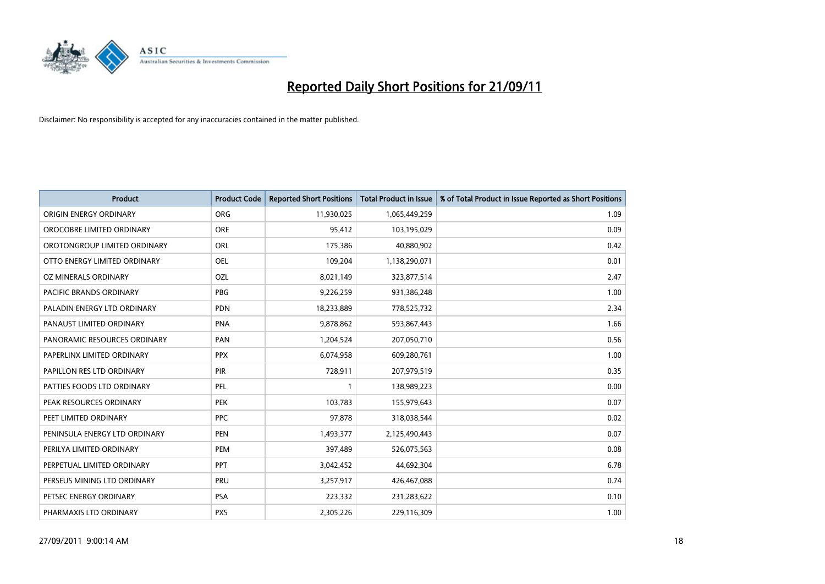

| <b>Product</b>                 | <b>Product Code</b> | <b>Reported Short Positions</b> | <b>Total Product in Issue</b> | % of Total Product in Issue Reported as Short Positions |
|--------------------------------|---------------------|---------------------------------|-------------------------------|---------------------------------------------------------|
| ORIGIN ENERGY ORDINARY         | <b>ORG</b>          | 11,930,025                      | 1,065,449,259                 | 1.09                                                    |
| OROCOBRE LIMITED ORDINARY      | <b>ORE</b>          | 95,412                          | 103,195,029                   | 0.09                                                    |
| OROTONGROUP LIMITED ORDINARY   | ORL                 | 175,386                         | 40,880,902                    | 0.42                                                    |
| OTTO ENERGY LIMITED ORDINARY   | <b>OEL</b>          | 109,204                         | 1,138,290,071                 | 0.01                                                    |
| OZ MINERALS ORDINARY           | OZL                 | 8,021,149                       | 323,877,514                   | 2.47                                                    |
| <b>PACIFIC BRANDS ORDINARY</b> | PBG                 | 9,226,259                       | 931,386,248                   | 1.00                                                    |
| PALADIN ENERGY LTD ORDINARY    | <b>PDN</b>          | 18,233,889                      | 778,525,732                   | 2.34                                                    |
| PANAUST LIMITED ORDINARY       | <b>PNA</b>          | 9,878,862                       | 593,867,443                   | 1.66                                                    |
| PANORAMIC RESOURCES ORDINARY   | PAN                 | 1,204,524                       | 207,050,710                   | 0.56                                                    |
| PAPERLINX LIMITED ORDINARY     | <b>PPX</b>          | 6,074,958                       | 609,280,761                   | 1.00                                                    |
| PAPILLON RES LTD ORDINARY      | <b>PIR</b>          | 728,911                         | 207,979,519                   | 0.35                                                    |
| PATTIES FOODS LTD ORDINARY     | PFL                 |                                 | 138,989,223                   | 0.00                                                    |
| PEAK RESOURCES ORDINARY        | <b>PEK</b>          | 103,783                         | 155,979,643                   | 0.07                                                    |
| PEET LIMITED ORDINARY          | <b>PPC</b>          | 97,878                          | 318,038,544                   | 0.02                                                    |
| PENINSULA ENERGY LTD ORDINARY  | <b>PEN</b>          | 1,493,377                       | 2,125,490,443                 | 0.07                                                    |
| PERILYA LIMITED ORDINARY       | PEM                 | 397,489                         | 526,075,563                   | 0.08                                                    |
| PERPETUAL LIMITED ORDINARY     | PPT                 | 3,042,452                       | 44,692,304                    | 6.78                                                    |
| PERSEUS MINING LTD ORDINARY    | PRU                 | 3,257,917                       | 426,467,088                   | 0.74                                                    |
| PETSEC ENERGY ORDINARY         | <b>PSA</b>          | 223,332                         | 231,283,622                   | 0.10                                                    |
| PHARMAXIS LTD ORDINARY         | <b>PXS</b>          | 2,305,226                       | 229,116,309                   | 1.00                                                    |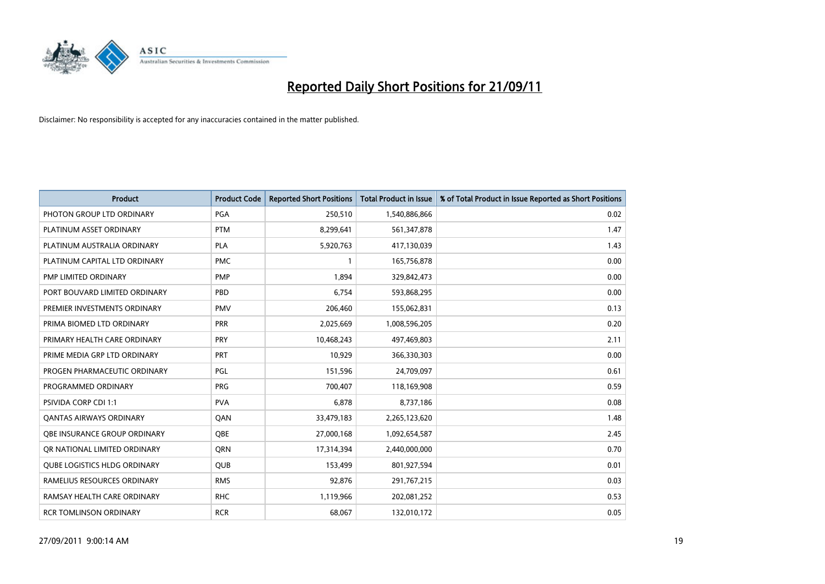

| <b>Product</b>                      | <b>Product Code</b> | <b>Reported Short Positions</b> | <b>Total Product in Issue</b> | % of Total Product in Issue Reported as Short Positions |
|-------------------------------------|---------------------|---------------------------------|-------------------------------|---------------------------------------------------------|
| PHOTON GROUP LTD ORDINARY           | PGA                 | 250,510                         | 1,540,886,866                 | 0.02                                                    |
| PLATINUM ASSET ORDINARY             | <b>PTM</b>          | 8,299,641                       | 561,347,878                   | 1.47                                                    |
| PLATINUM AUSTRALIA ORDINARY         | <b>PLA</b>          | 5,920,763                       | 417,130,039                   | 1.43                                                    |
| PLATINUM CAPITAL LTD ORDINARY       | <b>PMC</b>          |                                 | 165,756,878                   | 0.00                                                    |
| PMP LIMITED ORDINARY                | <b>PMP</b>          | 1,894                           | 329,842,473                   | 0.00                                                    |
| PORT BOUVARD LIMITED ORDINARY       | PBD                 | 6,754                           | 593,868,295                   | 0.00                                                    |
| PREMIER INVESTMENTS ORDINARY        | <b>PMV</b>          | 206,460                         | 155,062,831                   | 0.13                                                    |
| PRIMA BIOMED LTD ORDINARY           | PRR                 | 2,025,669                       | 1,008,596,205                 | 0.20                                                    |
| PRIMARY HEALTH CARE ORDINARY        | <b>PRY</b>          | 10,468,243                      | 497,469,803                   | 2.11                                                    |
| PRIME MEDIA GRP LTD ORDINARY        | <b>PRT</b>          | 10,929                          | 366,330,303                   | 0.00                                                    |
| PROGEN PHARMACEUTIC ORDINARY        | <b>PGL</b>          | 151,596                         | 24,709,097                    | 0.61                                                    |
| PROGRAMMED ORDINARY                 | <b>PRG</b>          | 700,407                         | 118,169,908                   | 0.59                                                    |
| PSIVIDA CORP CDI 1:1                | <b>PVA</b>          | 6,878                           | 8,737,186                     | 0.08                                                    |
| <b>QANTAS AIRWAYS ORDINARY</b>      | QAN                 | 33,479,183                      | 2,265,123,620                 | 1.48                                                    |
| OBE INSURANCE GROUP ORDINARY        | <b>OBE</b>          | 27,000,168                      | 1,092,654,587                 | 2.45                                                    |
| OR NATIONAL LIMITED ORDINARY        | <b>ORN</b>          | 17,314,394                      | 2,440,000,000                 | 0.70                                                    |
| <b>QUBE LOGISTICS HLDG ORDINARY</b> | QUB                 | 153,499                         | 801,927,594                   | 0.01                                                    |
| RAMELIUS RESOURCES ORDINARY         | <b>RMS</b>          | 92,876                          | 291,767,215                   | 0.03                                                    |
| RAMSAY HEALTH CARE ORDINARY         | <b>RHC</b>          | 1,119,966                       | 202,081,252                   | 0.53                                                    |
| <b>RCR TOMLINSON ORDINARY</b>       | <b>RCR</b>          | 68,067                          | 132,010,172                   | 0.05                                                    |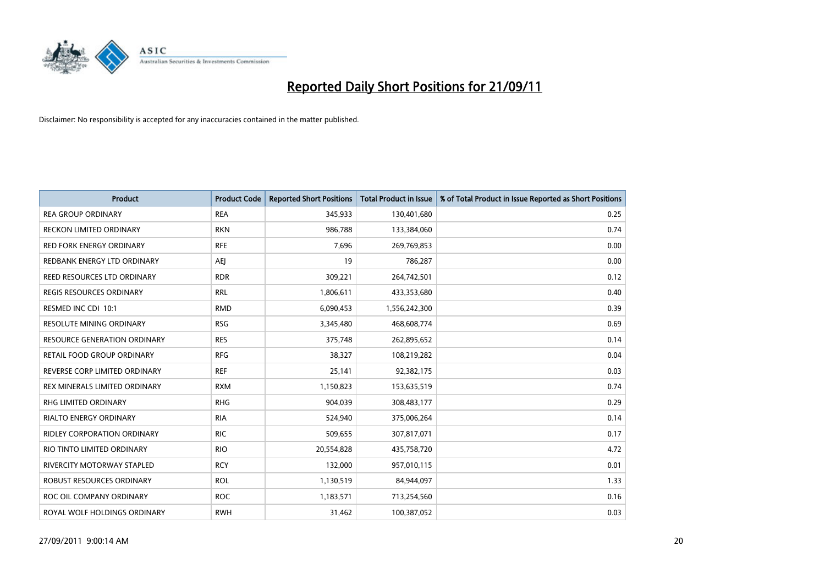

| <b>Product</b>                      | <b>Product Code</b> | <b>Reported Short Positions</b> | <b>Total Product in Issue</b> | % of Total Product in Issue Reported as Short Positions |
|-------------------------------------|---------------------|---------------------------------|-------------------------------|---------------------------------------------------------|
| <b>REA GROUP ORDINARY</b>           | <b>REA</b>          | 345,933                         | 130,401,680                   | 0.25                                                    |
| RECKON LIMITED ORDINARY             | <b>RKN</b>          | 986,788                         | 133,384,060                   | 0.74                                                    |
| <b>RED FORK ENERGY ORDINARY</b>     | <b>RFE</b>          | 7,696                           | 269,769,853                   | 0.00                                                    |
| REDBANK ENERGY LTD ORDINARY         | AEJ                 | 19                              | 786,287                       | 0.00                                                    |
| REED RESOURCES LTD ORDINARY         | <b>RDR</b>          | 309,221                         | 264,742,501                   | 0.12                                                    |
| <b>REGIS RESOURCES ORDINARY</b>     | <b>RRL</b>          | 1,806,611                       | 433,353,680                   | 0.40                                                    |
| RESMED INC CDI 10:1                 | <b>RMD</b>          | 6,090,453                       | 1,556,242,300                 | 0.39                                                    |
| RESOLUTE MINING ORDINARY            | <b>RSG</b>          | 3,345,480                       | 468,608,774                   | 0.69                                                    |
| <b>RESOURCE GENERATION ORDINARY</b> | <b>RES</b>          | 375,748                         | 262,895,652                   | 0.14                                                    |
| RETAIL FOOD GROUP ORDINARY          | <b>RFG</b>          | 38,327                          | 108,219,282                   | 0.04                                                    |
| REVERSE CORP LIMITED ORDINARY       | <b>REF</b>          | 25,141                          | 92,382,175                    | 0.03                                                    |
| REX MINERALS LIMITED ORDINARY       | <b>RXM</b>          | 1,150,823                       | 153,635,519                   | 0.74                                                    |
| RHG LIMITED ORDINARY                | <b>RHG</b>          | 904,039                         | 308,483,177                   | 0.29                                                    |
| RIALTO ENERGY ORDINARY              | <b>RIA</b>          | 524,940                         | 375,006,264                   | 0.14                                                    |
| RIDLEY CORPORATION ORDINARY         | <b>RIC</b>          | 509,655                         | 307,817,071                   | 0.17                                                    |
| RIO TINTO LIMITED ORDINARY          | <b>RIO</b>          | 20,554,828                      | 435,758,720                   | 4.72                                                    |
| RIVERCITY MOTORWAY STAPLED          | <b>RCY</b>          | 132,000                         | 957,010,115                   | 0.01                                                    |
| ROBUST RESOURCES ORDINARY           | <b>ROL</b>          | 1,130,519                       | 84,944,097                    | 1.33                                                    |
| ROC OIL COMPANY ORDINARY            | <b>ROC</b>          | 1,183,571                       | 713,254,560                   | 0.16                                                    |
| ROYAL WOLF HOLDINGS ORDINARY        | <b>RWH</b>          | 31,462                          | 100,387,052                   | 0.03                                                    |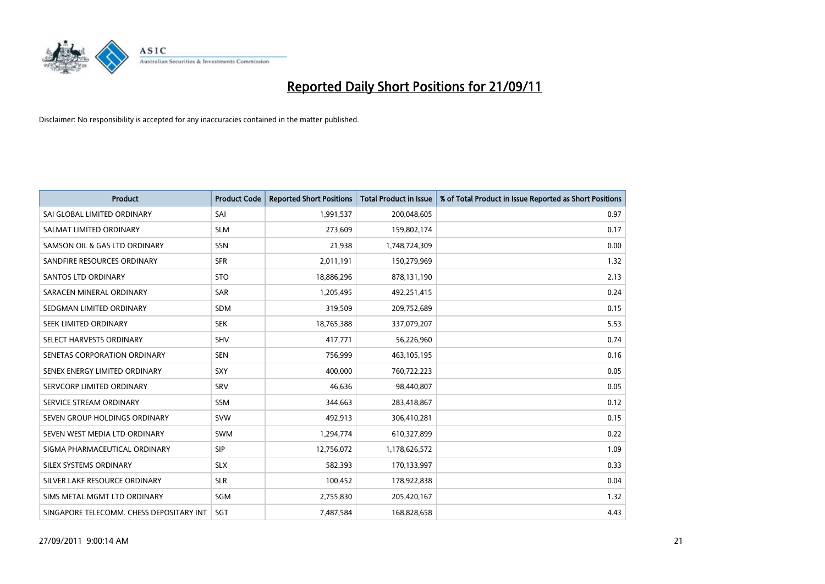

| <b>Product</b>                           | <b>Product Code</b> | <b>Reported Short Positions</b> | <b>Total Product in Issue</b> | % of Total Product in Issue Reported as Short Positions |
|------------------------------------------|---------------------|---------------------------------|-------------------------------|---------------------------------------------------------|
| SAI GLOBAL LIMITED ORDINARY              | SAI                 | 1,991,537                       | 200,048,605                   | 0.97                                                    |
| SALMAT LIMITED ORDINARY                  | <b>SLM</b>          | 273,609                         | 159,802,174                   | 0.17                                                    |
| SAMSON OIL & GAS LTD ORDINARY            | <b>SSN</b>          | 21,938                          | 1,748,724,309                 | 0.00                                                    |
| SANDFIRE RESOURCES ORDINARY              | <b>SFR</b>          | 2,011,191                       | 150,279,969                   | 1.32                                                    |
| <b>SANTOS LTD ORDINARY</b>               | <b>STO</b>          | 18,886,296                      | 878,131,190                   | 2.13                                                    |
| SARACEN MINERAL ORDINARY                 | SAR                 | 1,205,495                       | 492,251,415                   | 0.24                                                    |
| SEDGMAN LIMITED ORDINARY                 | <b>SDM</b>          | 319,509                         | 209,752,689                   | 0.15                                                    |
| <b>SEEK LIMITED ORDINARY</b>             | <b>SEK</b>          | 18,765,388                      | 337,079,207                   | 5.53                                                    |
| SELECT HARVESTS ORDINARY                 | SHV                 | 417,771                         | 56,226,960                    | 0.74                                                    |
| SENETAS CORPORATION ORDINARY             | <b>SEN</b>          | 756,999                         | 463,105,195                   | 0.16                                                    |
| SENEX ENERGY LIMITED ORDINARY            | <b>SXY</b>          | 400,000                         | 760,722,223                   | 0.05                                                    |
| SERVCORP LIMITED ORDINARY                | SRV                 | 46,636                          | 98,440,807                    | 0.05                                                    |
| SERVICE STREAM ORDINARY                  | <b>SSM</b>          | 344,663                         | 283,418,867                   | 0.12                                                    |
| SEVEN GROUP HOLDINGS ORDINARY            | <b>SVW</b>          | 492,913                         | 306,410,281                   | 0.15                                                    |
| SEVEN WEST MEDIA LTD ORDINARY            | <b>SWM</b>          | 1,294,774                       | 610,327,899                   | 0.22                                                    |
| SIGMA PHARMACEUTICAL ORDINARY            | <b>SIP</b>          | 12,756,072                      | 1,178,626,572                 | 1.09                                                    |
| SILEX SYSTEMS ORDINARY                   | <b>SLX</b>          | 582,393                         | 170,133,997                   | 0.33                                                    |
| SILVER LAKE RESOURCE ORDINARY            | <b>SLR</b>          | 100,452                         | 178,922,838                   | 0.04                                                    |
| SIMS METAL MGMT LTD ORDINARY             | SGM                 | 2,755,830                       | 205,420,167                   | 1.32                                                    |
| SINGAPORE TELECOMM. CHESS DEPOSITARY INT | SGT                 | 7,487,584                       | 168,828,658                   | 4.43                                                    |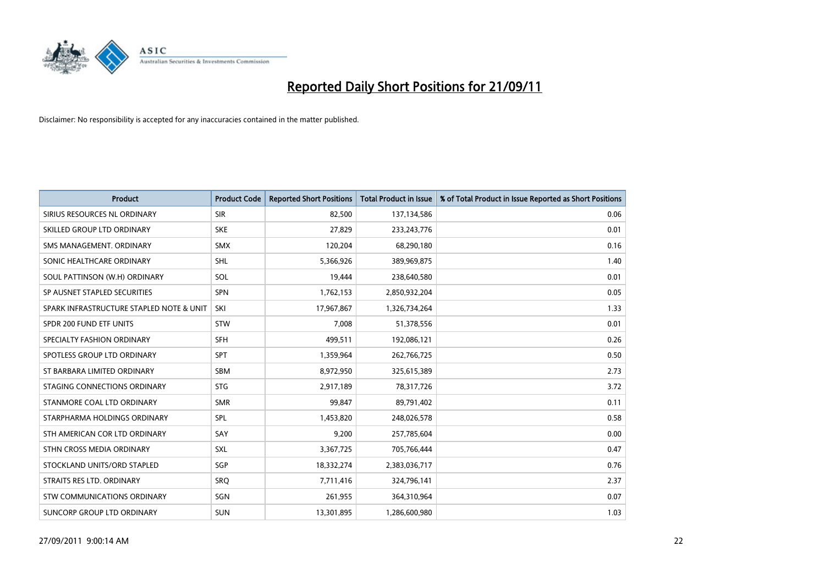

| <b>Product</b>                           | <b>Product Code</b> | <b>Reported Short Positions</b> | <b>Total Product in Issue</b> | % of Total Product in Issue Reported as Short Positions |
|------------------------------------------|---------------------|---------------------------------|-------------------------------|---------------------------------------------------------|
| SIRIUS RESOURCES NL ORDINARY             | <b>SIR</b>          | 82,500                          | 137,134,586                   | 0.06                                                    |
| SKILLED GROUP LTD ORDINARY               | <b>SKE</b>          | 27,829                          | 233, 243, 776                 | 0.01                                                    |
| SMS MANAGEMENT, ORDINARY                 | <b>SMX</b>          | 120,204                         | 68,290,180                    | 0.16                                                    |
| SONIC HEALTHCARE ORDINARY                | <b>SHL</b>          | 5,366,926                       | 389,969,875                   | 1.40                                                    |
| SOUL PATTINSON (W.H) ORDINARY            | SOL                 | 19,444                          | 238,640,580                   | 0.01                                                    |
| SP AUSNET STAPLED SECURITIES             | <b>SPN</b>          | 1,762,153                       | 2,850,932,204                 | 0.05                                                    |
| SPARK INFRASTRUCTURE STAPLED NOTE & UNIT | SKI                 | 17,967,867                      | 1,326,734,264                 | 1.33                                                    |
| SPDR 200 FUND ETF UNITS                  | <b>STW</b>          | 7,008                           | 51,378,556                    | 0.01                                                    |
| SPECIALTY FASHION ORDINARY               | <b>SFH</b>          | 499,511                         | 192,086,121                   | 0.26                                                    |
| SPOTLESS GROUP LTD ORDINARY              | <b>SPT</b>          | 1,359,964                       | 262,766,725                   | 0.50                                                    |
| ST BARBARA LIMITED ORDINARY              | <b>SBM</b>          | 8,972,950                       | 325,615,389                   | 2.73                                                    |
| STAGING CONNECTIONS ORDINARY             | <b>STG</b>          | 2,917,189                       | 78,317,726                    | 3.72                                                    |
| STANMORE COAL LTD ORDINARY               | <b>SMR</b>          | 99,847                          | 89,791,402                    | 0.11                                                    |
| STARPHARMA HOLDINGS ORDINARY             | SPL                 | 1,453,820                       | 248,026,578                   | 0.58                                                    |
| STH AMERICAN COR LTD ORDINARY            | SAY                 | 9,200                           | 257,785,604                   | 0.00                                                    |
| STHN CROSS MEDIA ORDINARY                | SXL                 | 3,367,725                       | 705,766,444                   | 0.47                                                    |
| STOCKLAND UNITS/ORD STAPLED              | SGP                 | 18,332,274                      | 2,383,036,717                 | 0.76                                                    |
| STRAITS RES LTD. ORDINARY                | <b>SRQ</b>          | 7,711,416                       | 324,796,141                   | 2.37                                                    |
| STW COMMUNICATIONS ORDINARY              | SGN                 | 261,955                         | 364,310,964                   | 0.07                                                    |
| SUNCORP GROUP LTD ORDINARY               | <b>SUN</b>          | 13,301,895                      | 1,286,600,980                 | 1.03                                                    |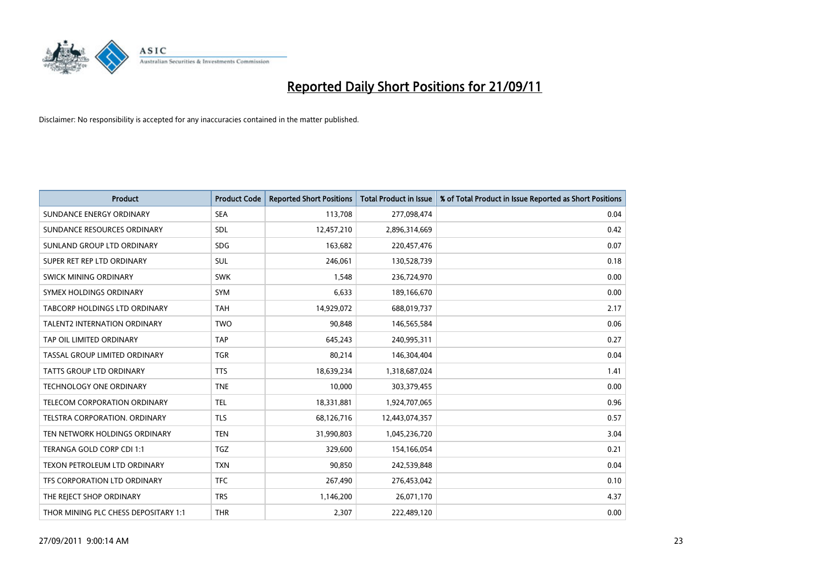

| <b>Product</b>                       | <b>Product Code</b> | <b>Reported Short Positions</b> | <b>Total Product in Issue</b> | % of Total Product in Issue Reported as Short Positions |
|--------------------------------------|---------------------|---------------------------------|-------------------------------|---------------------------------------------------------|
| SUNDANCE ENERGY ORDINARY             | <b>SEA</b>          | 113,708                         | 277,098,474                   | 0.04                                                    |
| SUNDANCE RESOURCES ORDINARY          | <b>SDL</b>          | 12,457,210                      | 2,896,314,669                 | 0.42                                                    |
| SUNLAND GROUP LTD ORDINARY           | <b>SDG</b>          | 163,682                         | 220,457,476                   | 0.07                                                    |
| SUPER RET REP LTD ORDINARY           | SUL                 | 246,061                         | 130,528,739                   | 0.18                                                    |
| <b>SWICK MINING ORDINARY</b>         | <b>SWK</b>          | 1,548                           | 236,724,970                   | 0.00                                                    |
| SYMEX HOLDINGS ORDINARY              | <b>SYM</b>          | 6,633                           | 189,166,670                   | 0.00                                                    |
| TABCORP HOLDINGS LTD ORDINARY        | <b>TAH</b>          | 14,929,072                      | 688,019,737                   | 2.17                                                    |
| TALENT2 INTERNATION ORDINARY         | <b>TWO</b>          | 90,848                          | 146,565,584                   | 0.06                                                    |
| TAP OIL LIMITED ORDINARY             | <b>TAP</b>          | 645,243                         | 240,995,311                   | 0.27                                                    |
| TASSAL GROUP LIMITED ORDINARY        | <b>TGR</b>          | 80,214                          | 146,304,404                   | 0.04                                                    |
| TATTS GROUP LTD ORDINARY             | <b>TTS</b>          | 18,639,234                      | 1,318,687,024                 | 1.41                                                    |
| <b>TECHNOLOGY ONE ORDINARY</b>       | <b>TNE</b>          | 10,000                          | 303,379,455                   | 0.00                                                    |
| TELECOM CORPORATION ORDINARY         | <b>TEL</b>          | 18,331,881                      | 1,924,707,065                 | 0.96                                                    |
| <b>TELSTRA CORPORATION, ORDINARY</b> | <b>TLS</b>          | 68,126,716                      | 12,443,074,357                | 0.57                                                    |
| TEN NETWORK HOLDINGS ORDINARY        | <b>TEN</b>          | 31,990,803                      | 1,045,236,720                 | 3.04                                                    |
| TERANGA GOLD CORP CDI 1:1            | <b>TGZ</b>          | 329,600                         | 154,166,054                   | 0.21                                                    |
| TEXON PETROLEUM LTD ORDINARY         | <b>TXN</b>          | 90,850                          | 242,539,848                   | 0.04                                                    |
| TFS CORPORATION LTD ORDINARY         | <b>TFC</b>          | 267,490                         | 276,453,042                   | 0.10                                                    |
| THE REJECT SHOP ORDINARY             | <b>TRS</b>          | 1,146,200                       | 26,071,170                    | 4.37                                                    |
| THOR MINING PLC CHESS DEPOSITARY 1:1 | <b>THR</b>          | 2,307                           | 222,489,120                   | 0.00                                                    |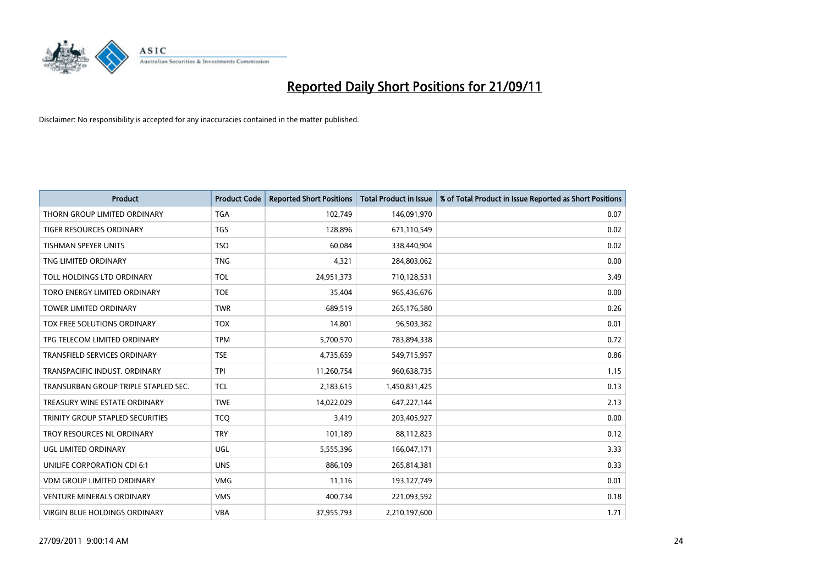

| <b>Product</b>                          | <b>Product Code</b> | <b>Reported Short Positions</b> | <b>Total Product in Issue</b> | % of Total Product in Issue Reported as Short Positions |
|-----------------------------------------|---------------------|---------------------------------|-------------------------------|---------------------------------------------------------|
| THORN GROUP LIMITED ORDINARY            | <b>TGA</b>          | 102,749                         | 146,091,970                   | 0.07                                                    |
| TIGER RESOURCES ORDINARY                | <b>TGS</b>          | 128,896                         | 671,110,549                   | 0.02                                                    |
| <b>TISHMAN SPEYER UNITS</b>             | <b>TSO</b>          | 60.084                          | 338,440,904                   | 0.02                                                    |
| TNG LIMITED ORDINARY                    | <b>TNG</b>          | 4,321                           | 284,803,062                   | 0.00                                                    |
| <b>TOLL HOLDINGS LTD ORDINARY</b>       | <b>TOL</b>          | 24,951,373                      | 710,128,531                   | 3.49                                                    |
| TORO ENERGY LIMITED ORDINARY            | <b>TOE</b>          | 35,404                          | 965,436,676                   | 0.00                                                    |
| <b>TOWER LIMITED ORDINARY</b>           | <b>TWR</b>          | 689.519                         | 265,176,580                   | 0.26                                                    |
| TOX FREE SOLUTIONS ORDINARY             | <b>TOX</b>          | 14,801                          | 96,503,382                    | 0.01                                                    |
| TPG TELECOM LIMITED ORDINARY            | <b>TPM</b>          | 5,700,570                       | 783,894,338                   | 0.72                                                    |
| <b>TRANSFIELD SERVICES ORDINARY</b>     | <b>TSE</b>          | 4,735,659                       | 549,715,957                   | 0.86                                                    |
| TRANSPACIFIC INDUST. ORDINARY           | <b>TPI</b>          | 11,260,754                      | 960,638,735                   | 1.15                                                    |
| TRANSURBAN GROUP TRIPLE STAPLED SEC.    | <b>TCL</b>          | 2,183,615                       | 1,450,831,425                 | 0.13                                                    |
| TREASURY WINE ESTATE ORDINARY           | <b>TWE</b>          | 14,022,029                      | 647,227,144                   | 2.13                                                    |
| <b>TRINITY GROUP STAPLED SECURITIES</b> | <b>TCO</b>          | 3,419                           | 203,405,927                   | 0.00                                                    |
| TROY RESOURCES NL ORDINARY              | <b>TRY</b>          | 101,189                         | 88,112,823                    | 0.12                                                    |
| UGL LIMITED ORDINARY                    | UGL                 | 5,555,396                       | 166,047,171                   | 3.33                                                    |
| UNILIFE CORPORATION CDI 6:1             | <b>UNS</b>          | 886,109                         | 265,814,381                   | 0.33                                                    |
| <b>VDM GROUP LIMITED ORDINARY</b>       | <b>VMG</b>          | 11,116                          | 193,127,749                   | 0.01                                                    |
| <b>VENTURE MINERALS ORDINARY</b>        | <b>VMS</b>          | 400,734                         | 221,093,592                   | 0.18                                                    |
| <b>VIRGIN BLUE HOLDINGS ORDINARY</b>    | <b>VBA</b>          | 37,955,793                      | 2,210,197,600                 | 1.71                                                    |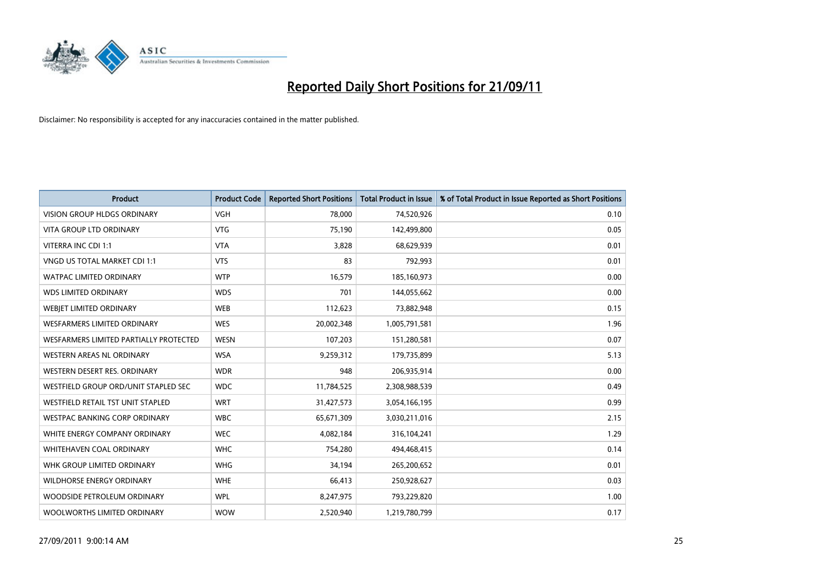

| <b>Product</b>                           | <b>Product Code</b> | <b>Reported Short Positions</b> | <b>Total Product in Issue</b> | % of Total Product in Issue Reported as Short Positions |
|------------------------------------------|---------------------|---------------------------------|-------------------------------|---------------------------------------------------------|
| <b>VISION GROUP HLDGS ORDINARY</b>       | <b>VGH</b>          | 78,000                          | 74,520,926                    | 0.10                                                    |
| <b>VITA GROUP LTD ORDINARY</b>           | <b>VTG</b>          | 75,190                          | 142,499,800                   | 0.05                                                    |
| VITERRA INC CDI 1:1                      | <b>VTA</b>          | 3,828                           | 68,629,939                    | 0.01                                                    |
| VNGD US TOTAL MARKET CDI 1:1             | <b>VTS</b>          | 83                              | 792,993                       | 0.01                                                    |
| <b>WATPAC LIMITED ORDINARY</b>           | <b>WTP</b>          | 16,579                          | 185,160,973                   | 0.00                                                    |
| <b>WDS LIMITED ORDINARY</b>              | <b>WDS</b>          | 701                             | 144,055,662                   | 0.00                                                    |
| <b>WEBIET LIMITED ORDINARY</b>           | <b>WEB</b>          | 112,623                         | 73,882,948                    | 0.15                                                    |
| <b>WESFARMERS LIMITED ORDINARY</b>       | <b>WES</b>          | 20,002,348                      | 1,005,791,581                 | 1.96                                                    |
| WESFARMERS LIMITED PARTIALLY PROTECTED   | <b>WESN</b>         | 107,203                         | 151,280,581                   | 0.07                                                    |
| <b>WESTERN AREAS NL ORDINARY</b>         | <b>WSA</b>          | 9,259,312                       | 179,735,899                   | 5.13                                                    |
| WESTERN DESERT RES. ORDINARY             | <b>WDR</b>          | 948                             | 206,935,914                   | 0.00                                                    |
| WESTFIELD GROUP ORD/UNIT STAPLED SEC     | <b>WDC</b>          | 11,784,525                      | 2,308,988,539                 | 0.49                                                    |
| <b>WESTFIELD RETAIL TST UNIT STAPLED</b> | <b>WRT</b>          | 31,427,573                      | 3,054,166,195                 | 0.99                                                    |
| <b>WESTPAC BANKING CORP ORDINARY</b>     | <b>WBC</b>          | 65,671,309                      | 3,030,211,016                 | 2.15                                                    |
| WHITE ENERGY COMPANY ORDINARY            | <b>WEC</b>          | 4,082,184                       | 316,104,241                   | 1.29                                                    |
| <b>WHITEHAVEN COAL ORDINARY</b>          | <b>WHC</b>          | 754,280                         | 494,468,415                   | 0.14                                                    |
| WHK GROUP LIMITED ORDINARY               | <b>WHG</b>          | 34,194                          | 265,200,652                   | 0.01                                                    |
| WILDHORSE ENERGY ORDINARY                | <b>WHE</b>          | 66,413                          | 250,928,627                   | 0.03                                                    |
| WOODSIDE PETROLEUM ORDINARY              | <b>WPL</b>          | 8,247,975                       | 793,229,820                   | 1.00                                                    |
| WOOLWORTHS LIMITED ORDINARY              | <b>WOW</b>          | 2,520,940                       | 1,219,780,799                 | 0.17                                                    |